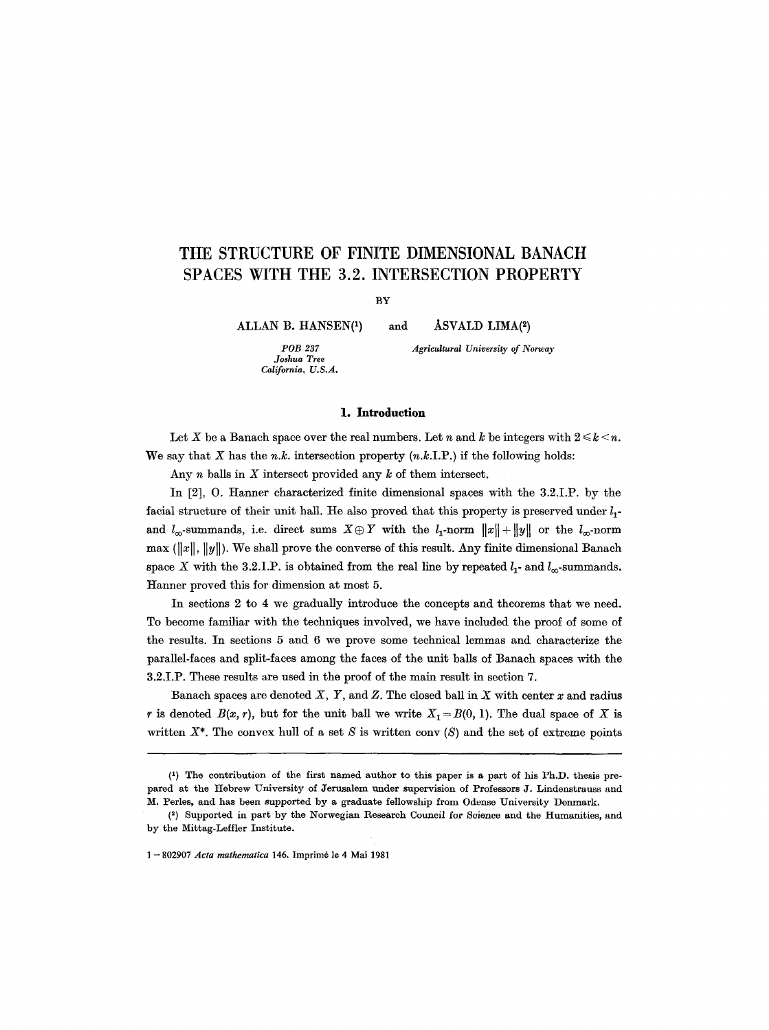# **THE STRUCTURE OF FINITE DIMENSIONAL BANACH SPACES WITH THE 3.2. INTERSECTION PROPERTY**

BY

ALLAN B. HANSEN<sup>(1)</sup>

*POB 237 Joshua Tree California, U.S.A.*  and  $\Lambda$ SVALD LIMA(2)

*Agricultural University of Norway* 

# **1. Introduction**

Let X be a Banach space over the real numbers. Let n and k be integers with  $2 \le k \le n$ . We say that X has the n.k. intersection property  $(n.k.I.P.)$  if the following holds:

Any  $n$  balls in  $X$  intersect provided any  $k$  of them intersect.

In  $[2]$ , O. Hanner characterized finite dimensional spaces with the 3.2.I.P. by the facial structure of their unit hall. He also proved that this property is preserved under  $l_1$ and  $l_{\infty}$ -summands, i.e. direct sums  $X \oplus Y$  with the  $l_1$ -norm  $||x|| + ||y||$  or the  $l_{\infty}$ -norm max  $(\Vert x \Vert, \Vert y \Vert)$ . We shall prove the converse of this result. Any finite dimensional Banach space X with the 3.2.I.P. is obtained from the real line by repeated  $l_1$ - and  $l_{\infty}$ -summands. Hanner proved this for dimension at most 5.

In sections 2 to 4 we gradually introduce the concepts and theorems that we need. **To** become familiar with the techniques involved, we have included the proof of some of the results. In sections 5 and 6 we prove some technical lemmas and characterize the parallel-faces and split-faces among the faces of the unit balls of Banach spaces with the 3.2.I.P. These results are used in the proof of the main result in section 7.

Banach spaces are denoted  $X$ ,  $Y$ , and  $Z$ . The closed ball in  $X$  with center  $x$  and radius r is denoted  $B(x, r)$ , but for the unit ball we write  $X_1 = B(0, 1)$ . The dual space of X is written  $X^*$ . The convex hull of a set S is written conv  $(S)$  and the set of extreme points

<sup>(1)</sup> The contribution of the first named author to this paper is a part of his Ph.D. thesis prepared at the Hebrew University of Jerusalem under supervision of Professors J. Lindenstrauss and M. Perles, and has been supported by a graduate fellowship from Odense University Denmark.

<sup>(~)</sup> Supported in part by the Norwegian Research Council for Science and the Humanities, and by the Mittag-Leffler Institute.

<sup>1 -- 802907</sup> *Acta mathematica* 146. Imprim6 le 4 Mai 1981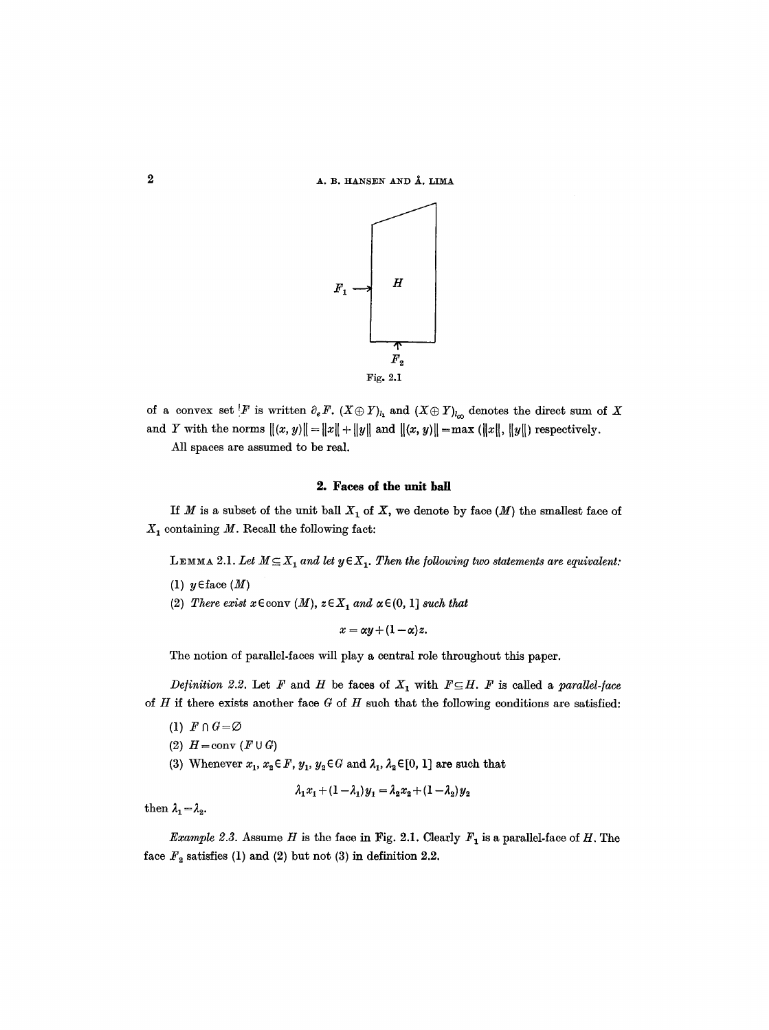A. B. HANSEN AND Å. LIMA



of a convex set F is written  $\partial_e F$ .  $(X \oplus Y)_{l_1}$  and  $(X \oplus Y)_{l_{\infty}}$  denotes the direct sum of X and Y with the norms  $||(x, y)|| = ||x|| + ||y||$  and  $||(x, y)|| = max (||x||, ||y||)$  respectively.

All spaces are assumed to be real.

#### **2. Faces of the** unit ball

If M is a subset of the unit ball  $X_1$  of X, we denote by face  $(M)$  the smallest face of  $X_1$  containing M. Recall the following fact:

**LEMMA** 2.1. Let  $M \subseteq X_1$  and let  $y \in X_1$ . Then the following two statements are equivalent:

- (1)  $y \in \text{face}(M)$
- (2) *There exist*  $x \in \text{conv } (M)$ ,  $z \in X_1$  and  $\alpha \in (0, 1]$  *such that*

$$
x = \alpha y + (1 - \alpha)z.
$$

The notion of parallel-faces will play a central role throughout this paper.

*Definition 2.2.* Let F and H be faces of  $X_1$  with  $F \subseteq H$ . F is called a *parallel-face* of H if there exists another face  $G$  of H such that the following conditions are satisfied:

- (1)  $F \cap G = \varnothing$
- (2)  $H = \text{conv}(F \cup G)$
- (3) Whenever  $x_1, x_2 \in F$ ,  $y_1, y_2 \in G$  and  $\lambda_1, \lambda_2 \in [0, 1]$  are such that

$$
\lambda_1 x_1 + (1 - \lambda_1) y_1 = \lambda_2 x_2 + (1 - \lambda_2) y_2
$$

then  $\lambda_1 = \lambda_2$ .

*Example 2.3.* Assume H is the face in Fig. 2.1. Clearly  $F_1$  is a parallel-face of H. The face  $F_2$  satisfies (1) and (2) but not (3) in definition 2.2.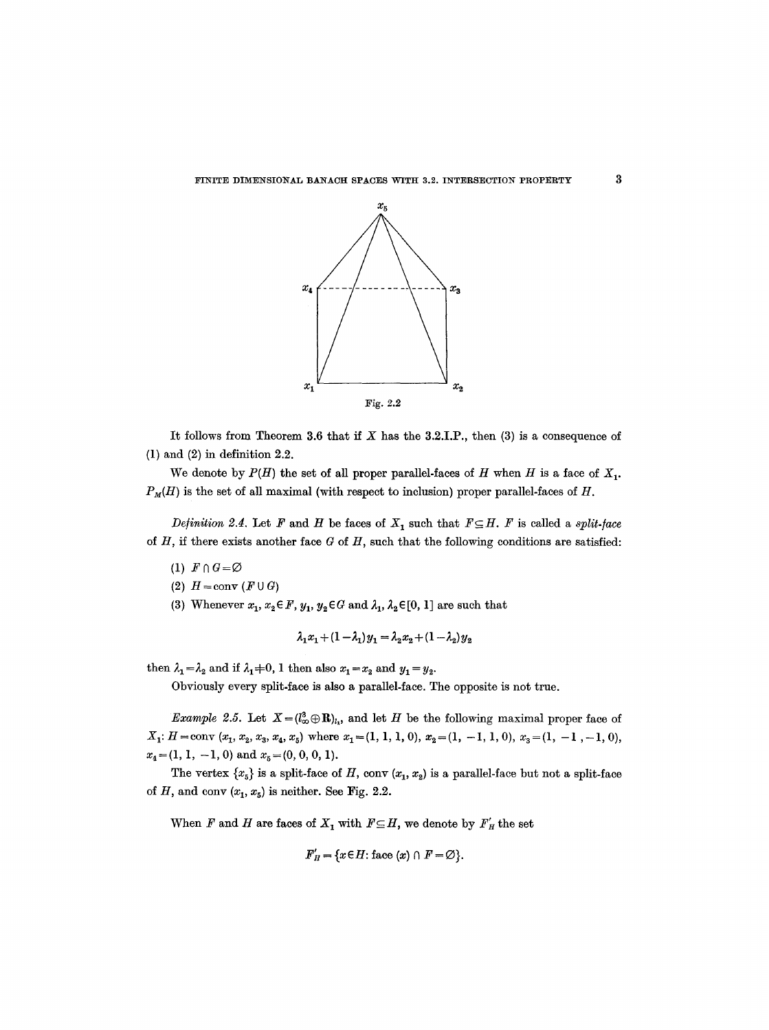

It follows from Theorem 3.6 that if  $X$  has the 3.2.I.P., then  $(3)$  is a consequence of (1) and (2) in definition 2.2.

We denote by  $P(H)$  the set of all proper parallel-faces of H when H is a face of  $X_1$ .  $P_M(H)$  is the set of all maximal (with respect to inclusion) proper parallel-faces of H.

*Definition 2.4.* Let F and H be faces of  $X<sub>1</sub>$  such that  $F \subseteq H$ . F is called a *split-face of H,* if there exists another face  $G$  of  $H$ , such that the following conditions are satisfied:

- (1)  $F \cap G = \varnothing$
- (2)  $H = \text{conv}(F \cup G)$
- (3) Whenever  $x_1, x_2 \in F$ ,  $y_1, y_2 \in G$  and  $\lambda_1, \lambda_2 \in [0, 1]$  are such that

$$
\lambda_1 x_1 + (1 - \lambda_1) y_1 = \lambda_2 x_2 + (1 - \lambda_2) y_2
$$

then  $\lambda_1 = \lambda_2$  and if  $\lambda_1 \neq 0$ , 1 then also  $x_1 = x_2$  and  $y_1 = y_2$ .

Obviously every split-face is also a parallel-face. The opposite is not true.

*Example 2.5.* Let  $X=(l^3_{\infty}\oplus \mathbf{R})_{l_1}$ , and let H be the following maximal proper face of  $X_1: H = \text{conv } (x_1, x_2, x_3, x_4, x_5)$  where  $x_1 = (1, 1, 1, 0), x_2 = (1, -1, 1, 0), x_3 = (1, -1, -1, 0),$  $x_4=(1, 1, -1, 0)$  and  $x_5=(0, 0, 0, 1)$ .

The vertex  $\{x_5\}$  is a split-face of H, conv  $(x_1, x_2)$  is a parallel-face but not a split-face of H, and conv  $(x_1, x_5)$  is neither. See Fig. 2.2.

When F and H are faces of  $X_1$  with  $F \subseteq H$ , we denote by  $F'_H$  the set

$$
F'_H = \{x \in H : \text{face}(x) \cap F = \emptyset\}.
$$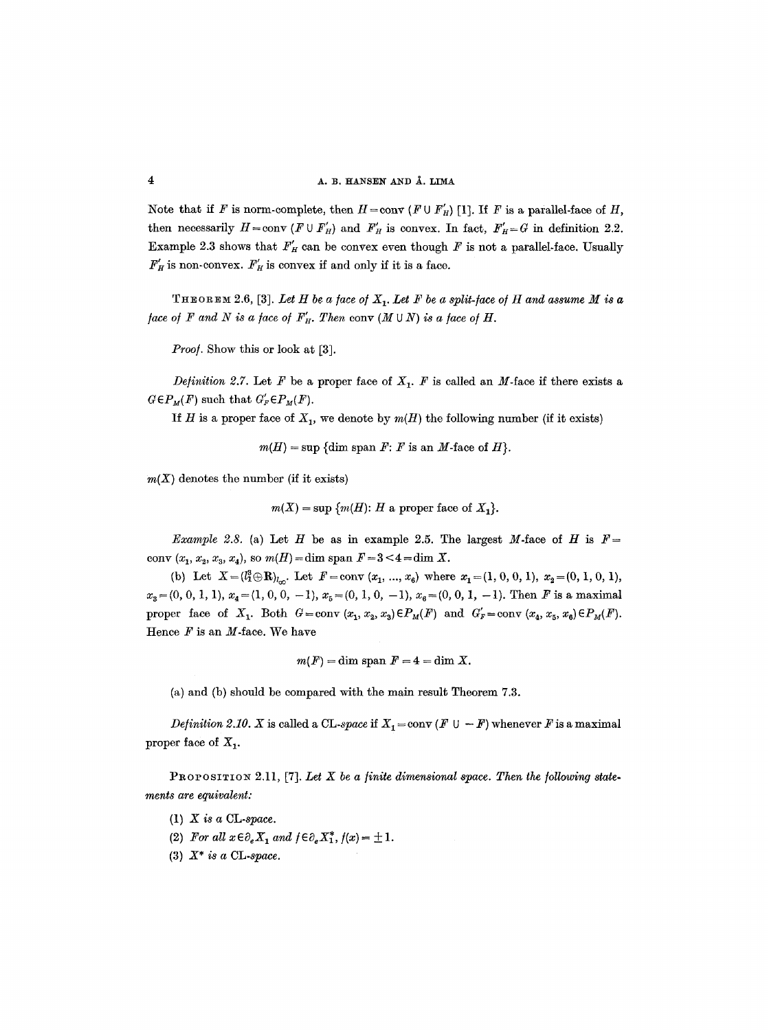Note that if F is norm-complete, then  $H = \text{conv } (F \cup F'_H)$  [1]. If F is a parallel-face of H, then necessarily  $H = \text{conv} (F \cup F'_H)$  and  $F'_H$  is convex. In fact,  $F'_H = G$  in definition 2.2. Example 2.3 shows that  $F_H'$  can be convex even though  $F$  is not a parallel-face. Usually  $F_H'$  is non-convex.  $F_H'$  is convex if and only if it is a face.

THEOREM 2.6, [3]. Let H be a face of  $X_1$ . Let F be a split-face of H and assume M is a *face of F and N is a face of*  $F'_H$ *. Then conv*  $(M \cup N)$  *is a face of H.* 

*Proo/.* Show this or look at [3].

*Definition 2.7.* Let F be a proper face of  $X_1$ . F is called an M-face if there exists a  $G \in P_M(F)$  such that  $G'_F \in P_M(F)$ .

If H is a proper face of  $X_1$ , we denote by  $m(H)$  the following number (if it exists)

 $m(H) = \sup \{dim \ \text{span } F: F \text{ is an } M \text{-face of } H \}.$ 

 $m(X)$  denotes the number (if it exists)

 $m(X) = \sup \{m(H): H \text{ a proper face of } X_1\}.$ 

*Example 2.8.* (a) Let H be as in example 2.5. The largest M-face of H is  $F=$ conv  $(x_1, x_2, x_3, x_4)$ , so  $m(H) = \dim$  span  $F = 3 < 4 = \dim X$ .

(b) Let  $X=(l_1^3\oplus \mathbf{R})_{l_{co}}$ . Let  $F=\text{conv }(x_1, ..., x_6)$  where  $x_1=(1, 0, 0, 1), x_2=(0, 1, 0, 1),$  $x_3=(0, 0, 1, 1), x_4=(1, 0, 0, -1), x_5=(0, 1, 0, -1), x_6=(0, 0, 1, -1).$  Then F is a maximal proper face of  $X_1$ . Both  $G=conv(x_1, x_2, x_3) \in P_M(F)$  and  $G'_F=conv(x_4, x_5, x_6) \in P_M(F)$ . Hence  $F$  is an  $M$ -face. We have

 $m(F) = \dim \text{span } F = 4 = \dim X.$ 

(a) and (b) should be compared with the main result Theorem 7.3.

*Definition 2.10. X* is called a CL-space if  $X_1 = \text{conv}(F \cup -F)$  whenever F is a maximal proper face of  $X_1$ .

PROPOSITION 2.11, [7]. Let X be a finite dimensional space. Then the following state*ments are equivalent:* 

- (1) *X is a* CL-space.
- (2) For all  $x \in \partial_e X_1$  and  $f \in \partial_e X_1^*$ ,  $f(x) = \pm 1$ .
- (3) *X\* is a CL-space.*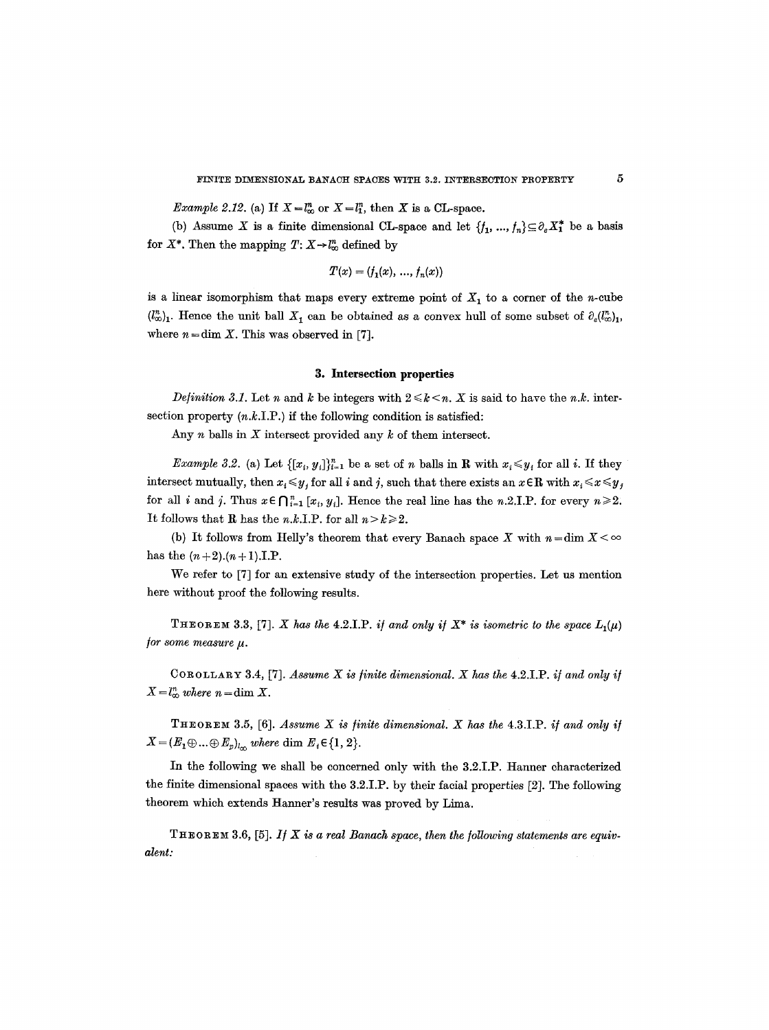*Example 2.12.* (a) If  $X = l_{\infty}^n$  or  $X = l_1^n$ , then X is a CL-space.

(b) Assume X is a finite dimensional CL-space and let  $\{f_1, ..., f_n\} \subseteq \partial_e X_1^*$  be a basis for  $X^*$ . Then the mapping  $T: X \rightarrow \mathbb{I}_{\infty}^n$  defined by

$$
T(x) = (f_1(x), \, ..., \, f_n(x))
$$

is a linear isomorphism that maps every extreme point of  $X_1$  to a corner of the n-cube  $(l^2_{\infty})_1$ . Hence the unit ball  $X_1$  can be obtained as a convex hull of some subset of  $\partial_e(l^2_{\infty})_1$ , where  $n = \dim X$ . This was observed in [7].

#### **3. Intersection properties**

*Definition 3.1.* Let n and k be integers with  $2 \leq k \leq n$ . X is said to have the n.k. intersection property  $(n.k.I.P.)$  if the following condition is satisfied:

Any  $n$  balls in  $X$  intersect provided any  $k$  of them intersect.

*Example 3.2.* (a) Let  $\{[x_i, y_j]\}_{i=1}^n$  be a set of n balls in **R** with  $x_i \leq y_i$  for all i. If they intersect mutually, then  $x_i \leq y_j$  for all i and j, such that there exists an  $x \in \mathbb{R}$  with  $x_i \leq x \leq y_j$ for all *i* and *j*. Thus  $x \in \bigcap_{i=1}^n [x_i, y_i]$ . Hence the real line has the n.2.I.P, for every  $n \ge 2$ . It follows that R has the *n*,*k*,I,P, for all  $n > k \ge 2$ .

(b) It follows from Helly's theorem that every Banach space X with  $n = \dim X < \infty$ has the  $(n+2)$ . $(n+1)$ .I.P.

We refer to [7] for an extensive study of the intersection properties. Let us mention here without proof the following results.

THEOREM 3.3, [7]. *X* has the 4.2.I.P. *if and only if*  $X^*$  *is isometric to the space L<sub>1</sub>(u)* for some measure  $\mu$ .

COROLLARY 3.4, [7]. *Assume X is finite dimensional. X has the* 4.2.I.P. *i] and only i/*   $X = l_{\infty}^n$  where  $n = \dim X$ .

THEOREm 3.5, [6]. *Assume X is finite dimensional. X has the* 4.3.I.P. *i/and only i/*   $X=(E_1\oplus...\oplus E_p)_{l_{\infty}}$  where  $\dim E_i\in\{1,2\}.$ 

In the following we shall be concerned only with the 3.2.I.P. Hanner characterized the finite dimensional spaces with the 3.2.I.P. by their facial properties [2]. The following theorem which extends Hanner's results was proved by Lima.

THEOREM 3.6, [5]. *If X* is a real Banach space, then the following statements are equiv*alent:*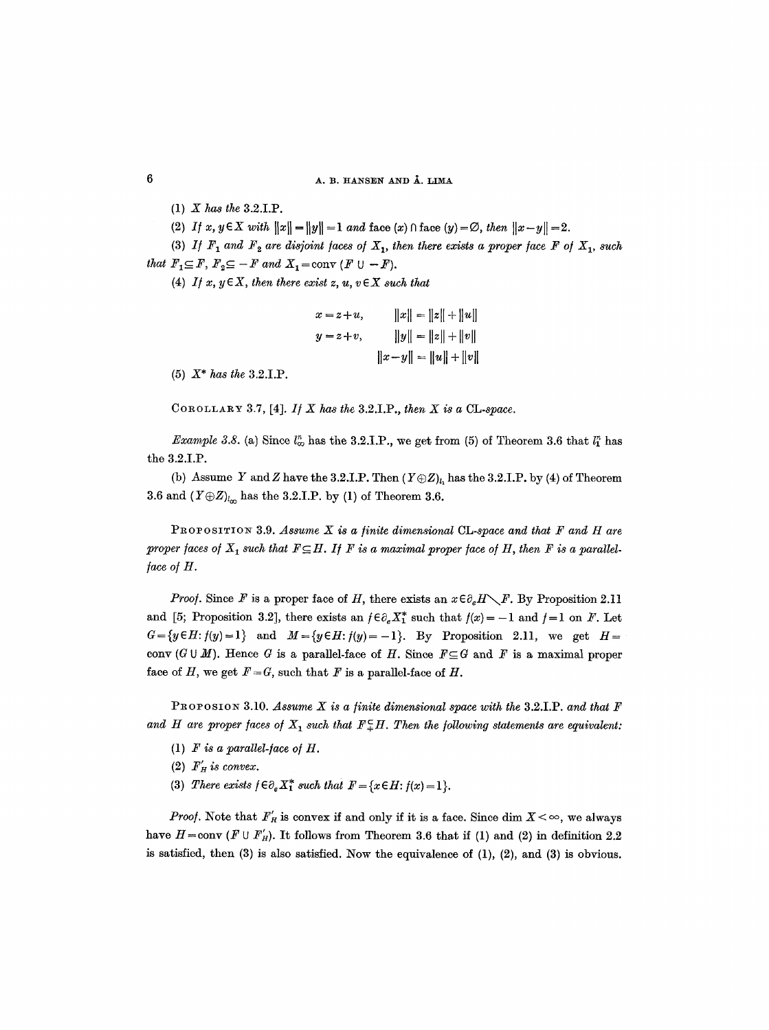- (1) *X has the* 3.2.I.P.
- (2) *If*  $x, y \in X$  with  $||x|| = ||y|| = 1$  and face  $(x) \cap$  face  $(y) = \emptyset$ , then  $||x y|| = 2$ .

(3) *If*  $F_1$  and  $F_2$  are disjoint faces of  $X_1$ , then there exists a proper face  $F$  of  $X_1$ , such *that*  $F_1 \subseteq F$ ,  $F_2 \subseteq -F$  and  $X_1 = \text{conv } (F \cup -F)$ .

(4) *If*  $x, y \in X$ , then there exist  $z, u, v \in X$  such that

$$
x = z + u, \t ||x|| = ||z|| + ||u||
$$
  

$$
y = z + v, \t ||y|| = ||z|| + ||v||
$$
  

$$
||x - y|| = ||u|| + ||v||
$$

(5) *X\* has the* 3.2.I.P.

COROLLARY 3.7, [4].  $I / X$  has the 3.2.I.P., then  $X$  is a CL-space.

*Example 3.8.* (a) Since  $l_{\infty}^{n}$  has the 3.2.I.P., we get from (5) of Theorem 3.6 that  $l_{1}^{n}$  has the 3.2.I.P.

(b) Assume Y and Z have the 3.2.I.P. Then  $(Y \oplus Z)_{l_1}$  has the 3.2.I.P. by (4) of Theorem 3.6 and  $(Y \oplus Z)_{l_{\infty}}$  has the 3.2.I.P. by (1) of Theorem 3.6.

**PROPOSITION** 3.9. *Assume X is a finite dimensional CL-space and that*  $F$  *and H are* proper faces of  $X_1$  such that  $F \subseteq H$ . If F is a maximal proper face of H, then F is a parallel-*/ace o/ H.* 

*Proof.* Since F is a proper face of H, there exists an  $x \in \partial_e H \setminus F$ . By Proposition 2.11 and [5; Proposition 3.2], there exists an  $f \in \partial_{\alpha} X_{1}^{*}$  such that  $f(x) = -1$  and  $f = 1$  on F. Let  $G=\{y\in H: f(y)=1\}$  and  $M=\{y\in H: f(y)=-1\}$ . By Proposition 2.11, we get  $H=$ conv  $(G \cup M)$ . Hence G is a parallel-face of H. Since  $F \subseteq G$  and F is a maximal proper face of H, we get  $F = G$ , such that F is a parallel-face of H.

PROPOSION 3.10. *Assume X is a finite dimensional space with the* 3.2.I.P. and that F and H are proper faces of  $X_1$  such that  $F_+^cH$ . Then the following statements are equivalent:

- (1)  $F$  *is a parallel-face of H.*
- (2)  $F'_H$  *is convex.*
- (3) *There exists*  $f \in \partial_e X_1^*$  *such that*  $F = \{x \in H : f(x) = 1\}.$

*Proof.* Note that  $F'_H$  is convex if and only if it is a face. Since dim  $X < \infty$ , we always have  $H = \text{conv } (F \cup F'_H)$ . It follows from Theorem 3.6 that if (1) and (2) in definition 2.2 is satisfied, then  $(3)$  is also satisfied. Now the equivalence of  $(1)$ ,  $(2)$ , and  $(3)$  is obvious.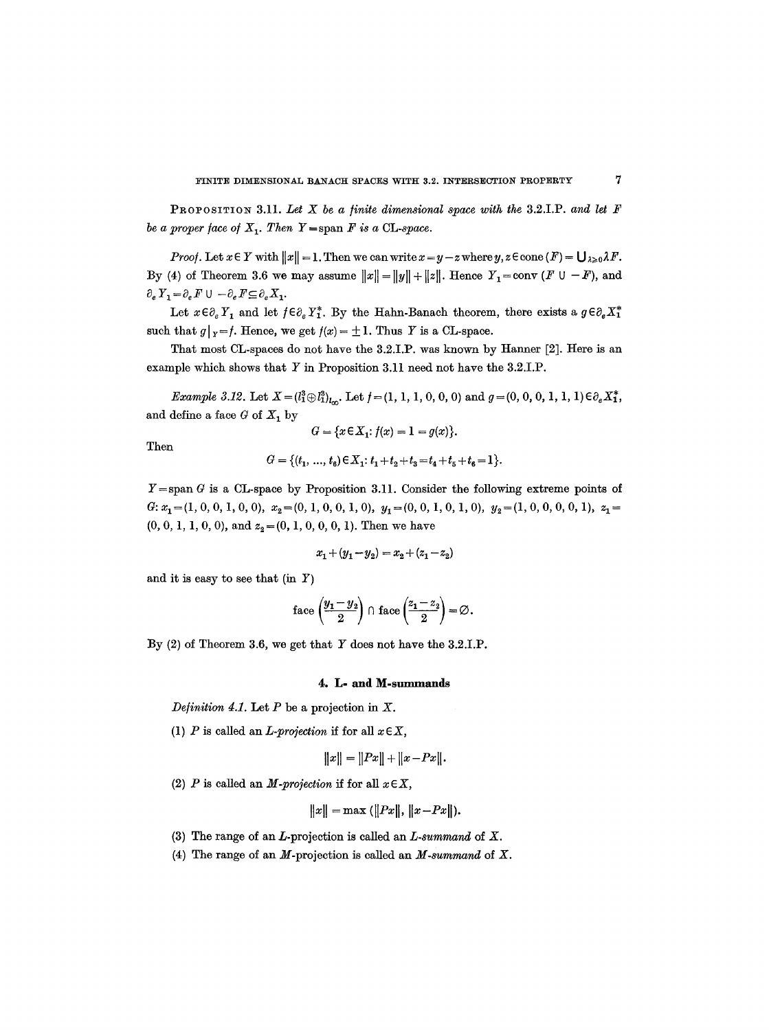PROPOSITION 3.11. Let X be a finite dimensional space with the 3.2.1.P. and let F *be a proper face of*  $X_1$ . Then  $Y = \text{span } F$  *is a* CL-space.

*Proof.* Let  $x \in Y$  with  $||x|| = 1$ . Then we can write  $x = y - z$  where  $y, z \in \text{cone}(F) = \bigcup_{\lambda \geq 0} \lambda F$ . By (4) of Theorem 3.6 we may assume  $||x|| = ||y|| + ||z||$ . Hence  $Y_1 = \text{conv } (F \cup -F)$ , and  $\partial_e Y_1 = \partial_e F \cup -\partial_e F \subseteq \partial_e X_1.$ 

Let  $x \in \partial_e Y_1$  and let  $f \in \partial_e Y_1^*$ . By the Hahn-Banach theorem, there exists a  $g \in \partial_e X_1^*$ such that  $g|_{Y} = f$ . Hence, we get  $f(x) = \pm 1$ . Thus Y is a CL-space.

That most CL-spaces do not have the 3.2.I.P. was known by Hanner [2]. Here is an example which shows that Y in Proposition 3.11 need not have the 3.2.I.P.

*Example 3.12.* Let  $X = (l_1^3 \oplus l_{1l_0}^3)_{l_0}$ . Let  $f = (1, 1, 1, 0, 0, 0)$  and  $g = (0, 0, 0, 1, 1, 1) \in \partial_e X_1^*$ , and define a face  $G$  of  $X_1$  by

Then

$$
G = \{x \in X_1 : f(x) = 1 = g(x)\}.
$$

$$
G = \{(t_1, ..., t_6) \in X_1: t_1 + t_2 + t_3 = t_4 + t_5 + t_6 = 1\}.
$$

 $Y = \text{span } G$  is a CL-space by Proposition 3.11. Consider the following extreme points of G:  $x_1 = (1, 0, 0, 1, 0, 0), x_2 = (0, 1, 0, 0, 1, 0), y_1 = (0, 0, 1, 0, 1, 0), y_2 = (1, 0, 0, 0, 0, 1), z_1 =$  $(0, 0, 1, 1, 0, 0)$ , and  $z_2 = (0, 1, 0, 0, 0, 1)$ . Then we have

$$
x_1 + (y_1 - y_2) = x_2 + (z_1 - z_2)
$$

and it is easy to see that  $(in Y)$ 

face 
$$
\left(\frac{y_1 - y_2}{2}\right) \cap \text{face}\left(\frac{z_1 - z_2}{2}\right) = \varnothing
$$
.

By (2) of Theorem 3.6, we get that Y does not have the 3.2.I.P.

## 4. L- and M-summands

*Definition 4.1.* Let  $P$  be a projection in  $X$ .

(1) P is called an *L-projection* if for all  $x \in X$ ,

$$
||x|| = ||Px|| + ||x - Px||.
$$

(2) *P* is called an *M-projection* if for all  $x \in X$ ,

$$
||x|| = \max (||Px||, ||x-Px||).
$$

- (3) The range of an L-projection is called an *L.summand* of X.
- (4) The range of an M-projection is called an *M-summand* of X.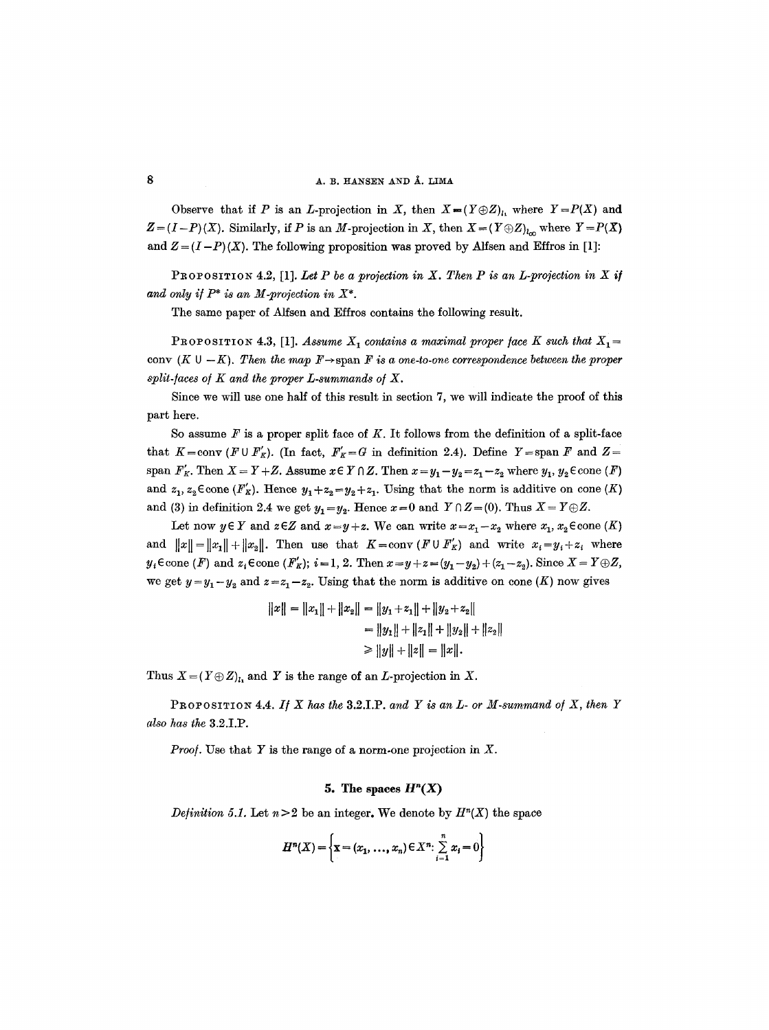# **8 A. B. HANSEN AND Å. LIMA**

Observe that if P is an L-projection in X, then  $X = (Y \oplus Z)_i$ , where  $Y = P(X)$  and  $Z = (I-P)(X)$ . Similarly, if P is an M-projection in X, then  $X = (Y \oplus Z)_{l_{\infty}}$  where  $Y = P(X)$ and  $Z = (I-P)(X)$ . The following proposition was proved by Alfsen and Effros in [1]:

PROPOSITION 4.2, [1]. Let P be a projection in X. Then P is an L-projection in X if and only if  $P^*$  is an M-projection in  $X^*$ .

The same paper of Alfsen and Effros contains the following result.

PROPOSITION 4.3, [1]. *Assume*  $X_1$  contains a maximal proper face K such that  $X_1 =$ cony  $(K \cup -K)$ . Then the map  $F \rightarrow$  span  $F$  is a one-to-one correspondence between the proper *split-laces o/K and the proper L-summands o/X.* 

Since we will use one half of this result in section 7, we will indicate the proof of this part here.

So assume  $F$  is a proper split face of  $K$ . It follows from the definition of a split-face that  $K = \text{conv } (F \cup F'_K)$ . (In fact,  $F'_K = G$  in definition 2.4). Define  $Y = \text{span } F$  and  $Z =$ span  $F_K'$ . Then  $X = Y + Z$ . Assume  $x \in Y \cap Z$ . Then  $x=y_1-y_2=z_1-z_2$  where  $y_1, y_2 \in \text{cone}(F)$ and  $z_1, z_2 \in \text{cone } (F'_R)$ . Hence  $y_1 + z_2 = y_2 + z_1$ . Using that the norm is additive on cone  $(K)$ and (3) in definition 2.4 we get  $y_1 = y_2$ . Hence  $x = 0$  and  $Y \cap Z = (0)$ . Thus  $X = Y \oplus Z$ .

Let now  $y \in Y$  and  $z \in Z$  and  $x = y + z$ . We can write  $x = x_1 - x_2$  where  $x_1, x_2 \in \text{cone}(K)$ and  $||x|| = ||x_1|| + ||x_2||$ . Then use that  $K = \text{conv}(F \cup F'_K)$  and write  $x_i = y_i + z_i$  where  $y_i \in \text{cone}(F)$  and  $z_i \in \text{cone}(F'_k); i = 1, 2.$  Then  $x = y + z = (y_1 - y_2) + (z_1 - z_2)$ . Since  $X = Y \oplus Z$ , we get  $y=y_1-y_2$  and  $z=z_1-z_2$ . Using that the norm is additive on cone (K) now gives

$$
||x|| = ||x_1|| + ||x_2|| = ||y_1 + z_1|| + ||y_2 + z_2||
$$
  
=  $||y_1|| + ||z_1|| + ||y_2|| + ||z_2||$   
 $\ge ||y|| + ||z|| = ||x||.$ 

Thus  $X = (Y \oplus Z)_{l_1}$  and Y is the range of an L-projection in X.

PROPOSITION 4.4. If  $X$  has the 3.2.I.P. and  $Y$  is an  $L$ - or  $M$ -summand of  $X$ , then  $Y$ *also has the* 3.2.I.P.

*Proof.* Use that Y is the range of a norm-one projection in  $X$ .

## **5.** The spaces  $H<sup>n</sup>(X)$

*Definition 5.1.* Let  $n > 2$  be an integer. We denote by  $H<sup>n</sup>(X)$  the space

$$
H^{n}(X) = \left\{ \mathbf{x} = (x_{1}, ..., x_{n}) \in X^{n}: \sum_{i=1}^{n} x_{i} = 0 \right\}
$$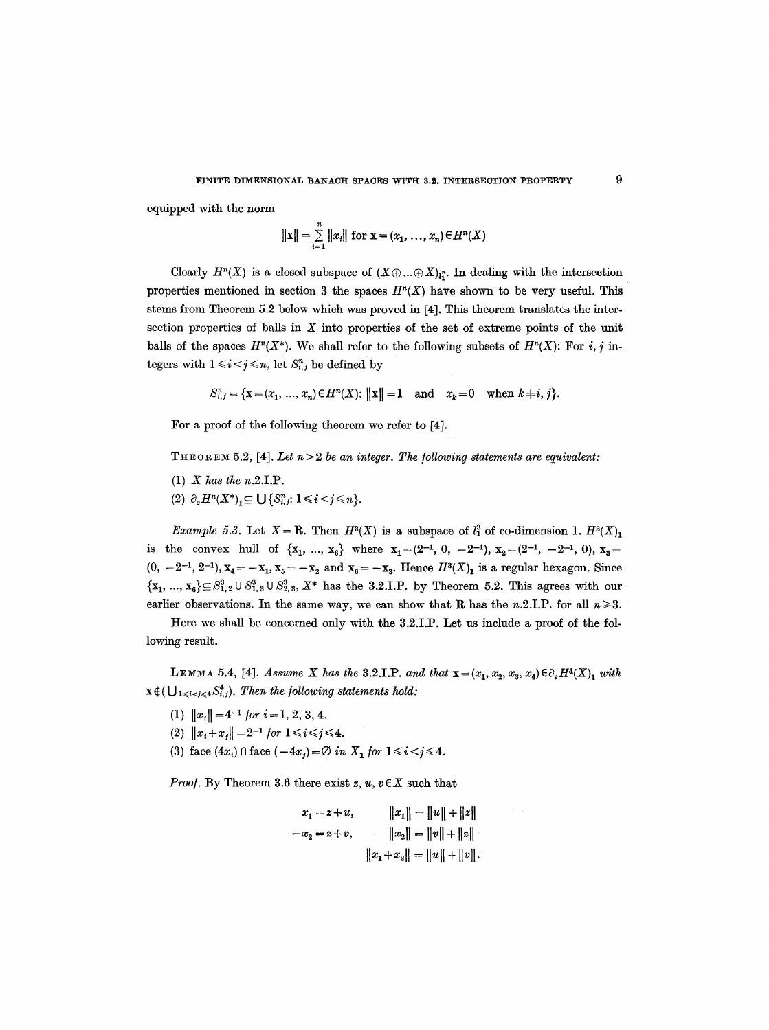equipped with the norm

$$
||\mathbf{x}|| = \sum_{i=1}^{n} ||x_i||
$$
 for  $\mathbf{x} = (x_1, ..., x_n) \in H^n(X)$ 

Clearly  $H^n(X)$  is a closed subspace of  $(X \oplus ... \oplus X)_{i}$ <sup>n</sup>. In dealing with the intersection properties mentioned in section 3 the spaces  $H<sup>n</sup>(X)$  have shown to be very useful. This stems from Theorem 5.2 below which was proved in [4]. This theorem translates the intersection properties of balls in  $X$  into properties of the set of extreme points of the unit balls of the spaces  $H^n(X^*)$ . We shall refer to the following subsets of  $H^n(X)$ : For i, j integers with  $1 \leq i \leq j \leq n$ , let  $S_{i,j}^n$  be defined by

$$
S_{i,j}^n = \{ \mathbf{x} = (x_1, \ldots, x_n) \in H^n(X) : ||\mathbf{x}|| = 1 \text{ and } x_k = 0 \text{ when } k \neq i, j \}.
$$

For a proof of the folIowing theorem we refer to [4].

THEOREM 5.2, [4]. Let  $n > 2$  be an integer. The following statements are equivalent:

- (1) *X has the* n.2.I.P.
- (2)  $\partial_e H^n(X^*)_1 \subseteq \bigcup \{ S^n_{i,j}: 1 \leq i < j \leq n \}.$

*Example 5.3.* Let  $X = \mathbf{R}$ . Then  $H^3(X)$  is a subspace of  $l_1^3$  of co-dimension 1.  $H^3(X)$ <sub>1</sub> is the convex hull of  $\{x_1, ..., x_6\}$  where  $x_1 = (2^{-1}, 0, -2^{-1}), x_2 = (2^{-1}, -2^{-1}, 0), x_3 =$  $(0, -2^{-1}, 2^{-1}),$   $X_4 = -X_1, X_5 = -X_2$  and  $X_6 = -X_3$ . Hence  $H^3(X)_1$  is a regular hexagon. Since  ${x_1, ..., x_6} \subseteq S_{1,2}^3 \cup S_{1,3}^3 \cup S_{2,3}^3$ ,  $X^*$  has the 3.2.I.P. by Theorem 5.2. This agrees with our earlier observations. In the same way, we can show that **R** has the n.2.I.P. for all  $n \ge 3$ .

Here we shall be concerned only with the 3.2.I.P. Let us include a proof of the following result.

LEMMA 5.4, [4]. *Assume X has the* 3.2.I.P. *and that*  $\mathbf{x} = (x_1, x_2, x_3, x_4) \in \partial_e H^4(X)$  *with*  $x \notin (\bigcup_{1 \leq i < j \leq 4} S_{i,j}^4)$ . Then the following statements hold:

- (1)  $||x_i|| = 4^{-1}$  for  $i = 1, 2, 3, 4$ .
- (2)  $||x_i+x_j|| = 2^{-1}$  for  $1 \le i \le j \le 4$ .
- (3) face  $(4x_i) \cap \text{face } (-4x_j) = \emptyset$  in  $X_1$  for  $1 \le i \le j \le 4$ .

*Proof.* By Theorem 3.6 there exist  $z, u, v \in X$  such that

$$
x_1 = z + u, \t ||x_1|| = ||u|| + ||z||
$$
  

$$
-x_2 = z + v, \t ||x_2|| = ||v|| + ||z||
$$
  

$$
||x_1 + x_2|| = ||u|| + ||v||.
$$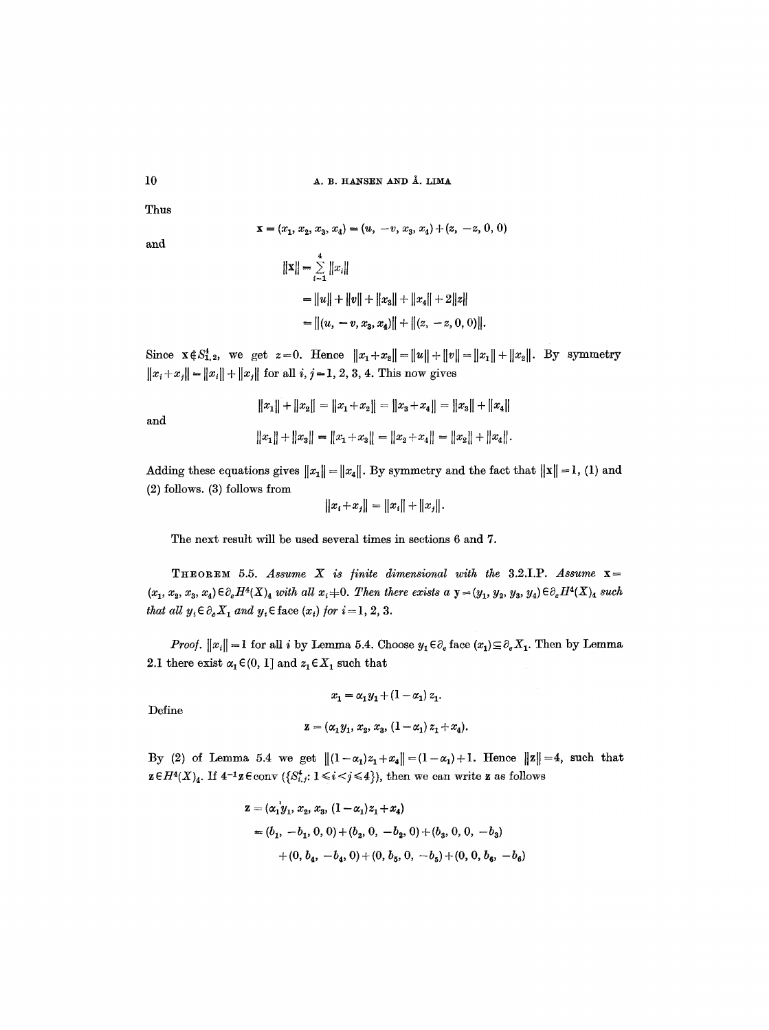$10$  A. B. HANSEN AND  $\AA$ . LIMA

Thus

$$
\mathbf{x} = (x_1, x_2, x_3, x_4) = (u, -v, x_3, x_4) + (z, -z, 0, 0)
$$

and

**and** 

$$
||\mathbf{x}|| = \sum_{i=1}^{4} ||x_i||
$$
  
=  $||u|| + ||v|| + ||x_3|| + ||x_4|| + 2||z||$   
=  $||(u, -v, x_3, x_4)|| + ||(z, -z, 0, 0)||$ .

Since  $\mathbf{x} \in S^*_{1,2}$ , we get  $z = 0$ . Hence  $||x_1 + x_2|| = ||u|| + ||v|| = ||x_1|| + ||x_2||$ . By symmetry  $||x_i + x_j|| = ||x_i|| + ||x_j||$  for all *i*, *j* = 1, 2, 3, 4. This now gives

$$
||x_1|| + ||x_2|| = ||x_1 + x_2|| = ||x_3 + x_4|| = ||x_3|| + ||x_4||
$$
  

$$
||x_1|| + ||x_3|| = ||x_1 + x_3|| = ||x_2 + x_4|| = ||x_2|| + ||x_4||.
$$

Adding these equations gives  $||x_1|| = ||x_4||$ . By symmetry and the fact that  $||x|| = 1$ , (1) and (2) follows. (3) follows from

$$
||x_i + x_j|| = ||x_i|| + ||x_j||.
$$

The next result will be used several times in sections 6 and 7.

**THEOREM** 5.5. Assume X is finite dimensional with the 3.2.1.1. Assume  $x=$  $(x_1, x_2, x_3, x_4) \in \partial_e H^4(X)_4$  *with all*  $x_i \neq 0$ . Then there exists a  $y = (y_1, y_2, y_3, y_4) \in \partial_e H^4(X)_4$  such *that all*  $y_i \in \partial_e X_1$  *and*  $y_i \in \text{face}(x_i)$  *for*  $i = 1, 2, 3$ .

*Proof.*  $||x_i|| = 1$  for all i by Lemma 5.4. Choose  $y_1 \in \partial_e$  face  $(x_1) \subseteq \partial_e X_1$ . Then by Lemma 2.1 there exist  $\alpha_1 \in (0, 1]$  and  $z_1 \in X_1$  such that

Define

$$
z = (\alpha_1 y_1, x_2, x_3, (1 - \alpha_1) z_1 + x_4).
$$

 $x_1 = \alpha_1 y_1 + \left(1 - \alpha_1\right) z_1.$ 

By (2) of Lemma 5.4 we get  $||(1-\alpha_1)z_1+x_4|| = (1-\alpha_1)+1$ . Hence  $||z|| = 4$ , such that  $\mathbf{z} \in H^4(X)_4$ . If  $4^{-1}\mathbf{z} \in \text{conv } (\{S^4_{i,j}: 1 \leq i \leq j \leq 4\})$ , then we can write  $\mathbf{z}$  as follows

$$
\mathbf{z} = (\alpha_1 \mathbf{y}_1, x_2, x_3, (1 - \alpha_1)z_1 + x_4)
$$
  
=  $(b_1, -b_1, 0, 0) + (b_2, 0, -b_2, 0) + (b_3, 0, 0, -b_3)$   
+  $(0, b_4, -b_4, 0) + (0, b_5, 0, -b_5) + (0, 0, b_6, -b_6)$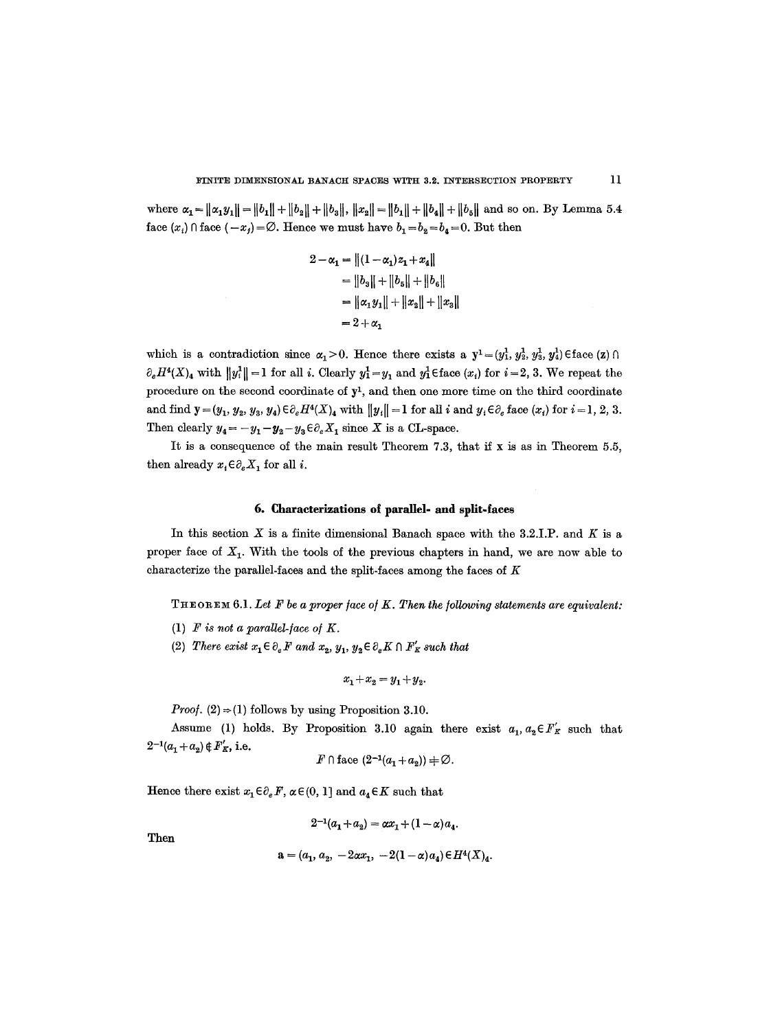where  $\alpha_1 = ||\alpha_1 y_1|| = ||b_1|| + ||b_2|| + ||b_3||$ ,  $||x_2|| = ||b_1|| + ||b_4|| + ||b_5||$  and so on. By Lemma 5.4 face  $(x_i) \cap$  face  $(-x_j) = \emptyset$ . Hence we must have  $b_1 = b_2 = b_4 = 0$ . But then

$$
2 - \alpha_1 = ||(1 - \alpha_1)z_1 + x_4||
$$
  
= ||b<sub>3</sub>|| + ||b<sub>5</sub>|| + ||b<sub>6</sub>||  
= ||\alpha\_1 y\_1|| + ||x\_2|| + ||x\_3||  
= 2 + \alpha\_1

which is a contradiction since  $\alpha_1>0$ . Hence there exists a  $y^1=(y_1^1, y_2^1, y_3^1, y_4^1)$  Eface  $(z) \cap$  $\partial_e H^4(X)_4$  with  $||y_i^1|| = 1$  for all *i*. Clearly  $y_1^1 = y_1$  and  $y_1^1 \in \text{face}(x_i)$  for  $i = 2, 3$ . We repeat the procedure on the second coordinate of  $y<sup>1</sup>$ , and then one more time on the third coordinate and find  $y = (y_1, y_2, y_3, y_4) \in \partial_e H^4(X)_4$  with  $||y_i|| = 1$  for all i and  $y_i \in \partial_e$  face  $(x_i)$  for  $i = 1, 2, 3$ . Then clearly  $y_4 = -y_1-y_2-y_3 \in \partial_e X_1$  since X is a CL-space.

It is a consequence of the main result Theorem 7.3, that if x is as in Theorem 5.5, then already  $x_i \in \partial_e X_1$  for all *i*.

## **6. Characterizations of parallel- and split-faces**

In this section  $X$  is a finite dimensional Banach space with the 3.2.I.P. and  $K$  is a proper face of  $X_1$ . With the tools of the previous chapters in hand, we are now able to characterize the parallel-faces and the split-faces among the faces of  $K$ 

THEOREM 6.1. *Let F be a proper/ace o/K. Then the/oUowing statements are equivalent:* 

- (1)  $F$  *is not a parallel-face of K.*
- (2) *There exist*  $x_1 \in \partial_e F$  and  $x_2, y_1, y_2 \in \partial_e K \cap F'_K$  such that

$$
x_1 + x_2 = y_1 + y_2.
$$

*Proof.* (2)  $\Rightarrow$  (1) follows by using Proposition 3.10.

Assume (1) holds. By Proposition 3.10 again there exist  $a_1, a_2 \in F_K$  such that  $2^{-1}(a_1 + a_2) \notin F_K'$ , i.e.

$$
F \cap \text{face } (2^{-1}(a_1 + a_2)) \neq \emptyset.
$$

Hence there exist  $x_1 \in \partial_e F$ ,  $\alpha \in (0, 1]$  and  $a_4 \in K$  such that

$$
2^{-1}(a_1 + a_2) = \alpha x_1 + (1 - \alpha) a_4.
$$

Then

$$
\mathbf{a} = (a_1, a_2, -2\alpha x_1, -2(1-\alpha)a_4) \in H^4(X)_4.
$$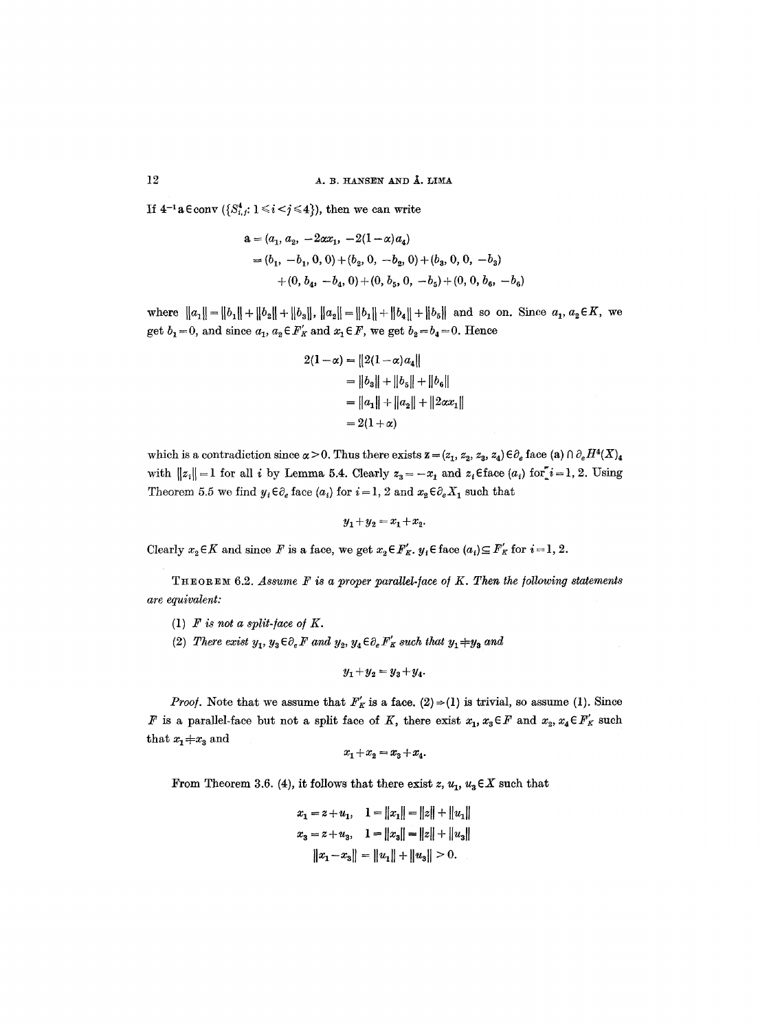If  $4^{-1}a \in conv \ ( \{ S_{i,j}^4: 1 \leq i < j \leq 4 \} )$ , then we can write

$$
a = (a_1, a_2, -2\alpha x_1, -2(1-\alpha)a_4)
$$
  
= (b<sub>1</sub>, -b<sub>1</sub>, 0, 0) + (b<sub>2</sub>, 0, -b<sub>2</sub>, 0) + (b<sub>3</sub>, 0, 0, -b<sub>3</sub>)  
+ (0, b<sub>4</sub>, -b<sub>4</sub>, 0) + (0, b<sub>5</sub>, 0, -b<sub>5</sub>) + (0, 0, b<sub>6</sub>, -b<sub>6</sub>)

where  $||a_1|| = ||b_1|| + ||b_2|| + ||b_3||$ ,  $||a_2|| = ||b_1|| + ||b_4|| + ||b_5||$  and so on. Since  $a_1, a_2 \in K$ , we get  $b_1=0$ , and since  $a_1, a_2 \in F'_K$  and  $x_1 \in F$ , we get  $b_2=b_4=0$ . Hence

$$
2(1 - \alpha) = ||2(1 - \alpha)a_4||
$$
  
=  $||b_3|| + ||b_5|| + ||b_6||$   
=  $||a_1|| + ||a_2|| + ||2\alpha x_1||$   
=  $2(1 + \alpha)$ 

which is a contradiction since  $\alpha > 0$ . Thus there exists  $z = (z_1, z_2, z_3, z_4) \in \partial_e$  face (a)  $\cap \partial_e H^4(X)_4$ with  $||z_i|| = 1$  for all i by Lemma 5.4. Clearly  $z_3 = -x_1$  and  $z_i \in \text{face}(a_i)$  for  $i=1, 2$ . Using Theorem 5.5 we find  $y_i \in \partial_e$  face  $(a_i)$  for  $i = 1, 2$  and  $x_2 \in \partial_e X_1$  such that

$$
y_1 + y_2 = x_1 + x_2.
$$

Clearly  $x_2 \in K$  and since F is a face, we get  $x_2 \in F_K'$ .  $y_i \in \text{face}(a_i) \subseteq F_K'$  for  $i = 1, 2$ .

THEOREM 6.2. *Assume F is a proper parallel-face of K. Then the following statements are equivalent:* 

- (1)  $F$  is not a split-face of  $K$ .
- (2) *There exist*  $y_1, y_3 \in \partial_e F$  and  $y_2, y_4 \in \partial_e F'_K$  such that  $y_1 \pm y_3$  and

$$
y_1 + y_2 = y_3 + y_4.
$$

*Proof.* Note that we assume that  $F'_K$  is a face.  $(2) \Rightarrow (1)$  is trivial, so assume (1). Since F is a parallel-face but not a split face of K, there exist  $x_1, x_3 \in F$  and  $x_2, x_4 \in F_K'$  such that  $x_1 \neq x_3$  and

$$
x_1 + x_2 = x_3 + x_4.
$$

From Theorem 3.6. (4), it follows that there exist  $z, u_1, u_3 \in X$  such that

$$
x_1 = z + u_1, \quad 1 = ||x_1|| = ||z|| + ||u_1||
$$
  
\n
$$
x_3 = z + u_3, \quad 1 = ||x_3|| = ||z|| + ||u_3||
$$
  
\n
$$
||x_1 - x_3|| = ||u_1|| + ||u_3|| > 0.
$$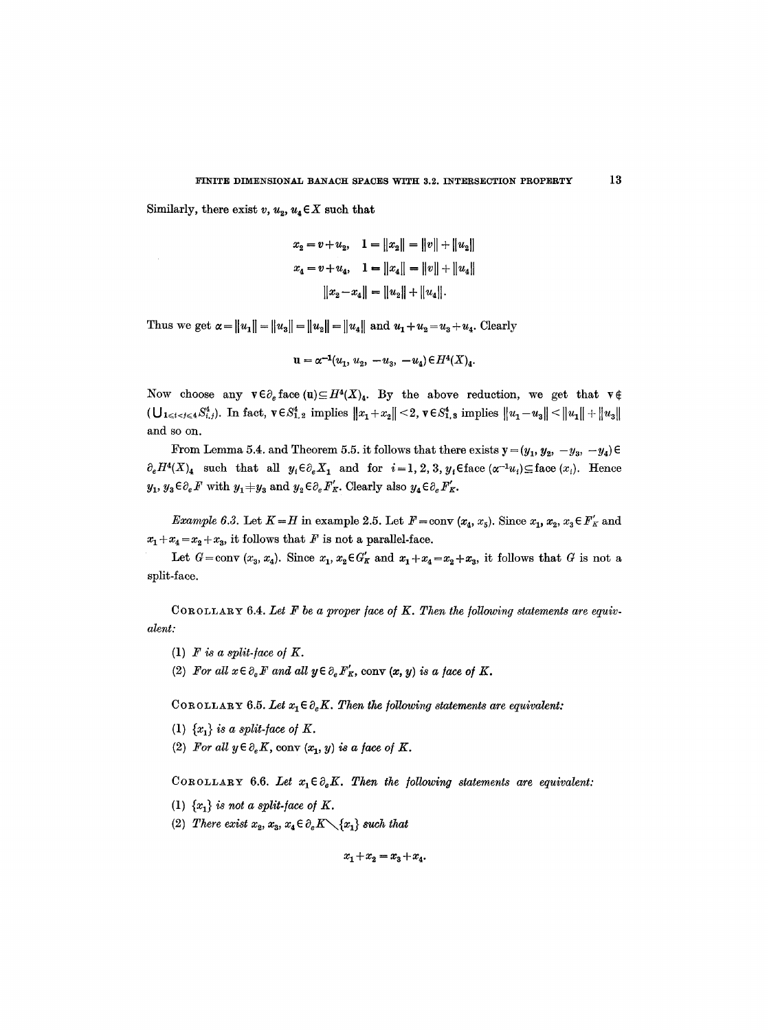Similarly, there exist  $v, u_2, u_4 \in X$  such that

$$
x_2 = v + u_2, \quad 1 = ||x_2|| = ||v|| + ||u_2||
$$
  

$$
x_4 = v + u_4, \quad 1 = ||x_4|| = ||v|| + ||u_4||
$$
  

$$
||x_2 - x_4|| = ||u_2|| + ||u_4||.
$$

Thus we get  $\alpha = \|u_1\| = \|u_3\| = \|u_2\| = \|u_4\|$  and  $u_1 + u_2 = u_3 + u_4$ . Clearly

$$
\mathbf{u} = \alpha^{-1}(u_1, u_2, -u_3, -u_4) \in H^4(X)_4.
$$

Now choose any  $\mathbf{v}\in\partial_{\varepsilon}$  face  $(\mathbf{u})\subseteq H^{4}(X)_{\mathbf{A}}$ . By the above reduction, we get that  $\mathbf{v}\notin\partial_{\varepsilon}$  $\|U_{1 \leqslant i < j \leqslant 4} S^4_{i,j}\|$ . In fact,  $v \in S^4_{1,2}$  implies  $\|x_1 + x_2\| < 2$ ,  $v \in S^4_{1,3}$  implies  $\|u_1 - u_3\| < \|u_1\| + \|u_3\|$ and so on.

From Lemma 5.4. and Theorem 5.5. it follows that there exists  $y = (y_1, y_2, -y_3, -y_4) \in$  $\partial_e H^4(X)_4$  such that all  $y_i \in \partial_e X_1$  and for  $i=1,2,3, y_j \in \text{face}(\alpha^{-1}u_i) \subseteq \text{face}(x_i)$ . Hence  $y_1, y_3 \in \partial_e F$  with  $y_1 \neq y_3$  and  $y_2 \in \partial_e F'_K$ . Clearly also  $y_4 \in \partial_e F'_K$ .

*Example 6.3.* Let  $K=H$  in example 2.5. Let  $F=conv(x_4, x_5)$ . Since  $x_1, x_2, x_3 \in F'_K$  and  $x_1 + x_4 = x_2 + x_3$ , it follows that F is not a parallel-face.

Let  $G = \text{conv } (x_3, x_4)$ . Since  $x_1, x_2 \in G'_K$  and  $x_1 + x_4 = x_2 + x_3$ , it follows that G is not a split-face.

COROLLARY 6.4. Let  $F$  be a proper face of  $K$ . Then the following statements are equiv*alent:* 

- (1)  $F$  *is a split-face of K.*
- (2) For all  $x \in \partial_e F$  and all  $y \in \partial_e F'_K$ , conv  $(x, y)$  is a face of K.

COROLLARY 6.5. Let  $x_1 \in \partial_e K$ . Then the following statements are equivalent:

- (1)  $\{x_i\}$  is a split-face of K.
- (2) For all  $y \in \partial_e K$ , conv  $(x_1, y)$  is a face of K.

COROLLARY 6.6. Let  $x_1 \in \partial_e K$ . Then the following statements are equivalent:

- (1)  $\{x_i\}$  *is not a split-face of K.*
- (2) *There exist*  $x_2, x_3, x_4 \in \partial_e K \setminus \{x_1\}$  such that

 $x_1+x_2=x_3+x_4.$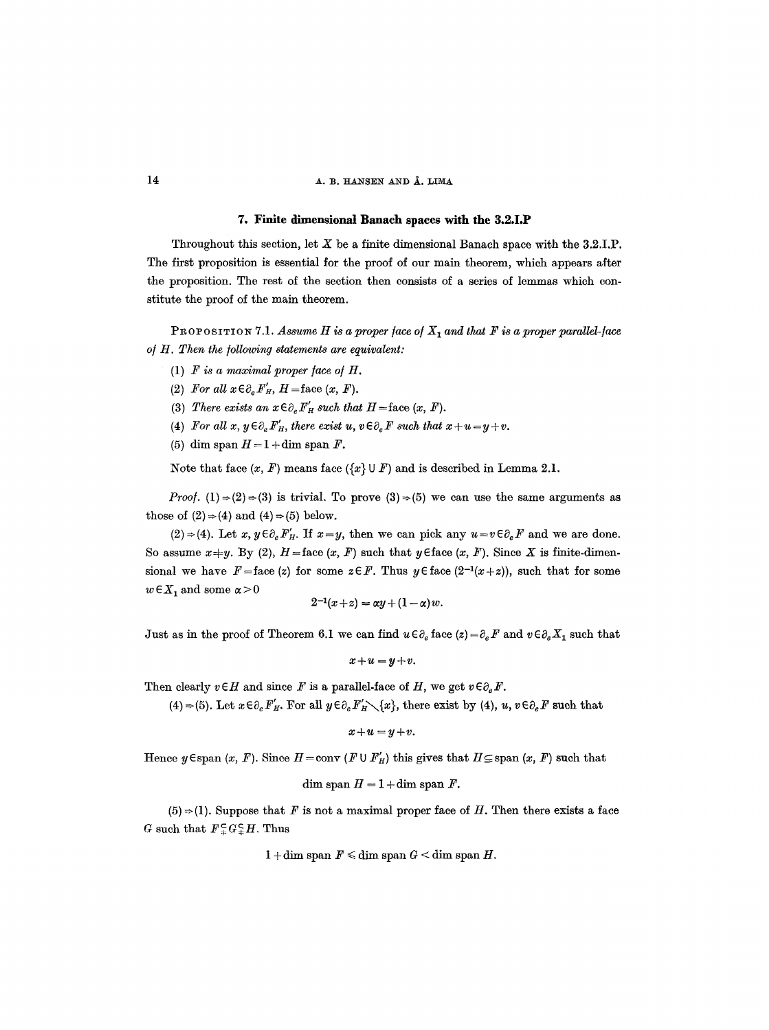# $14$  A. B. HANSEN AND  $\AA$ . LIMA

#### **7. Finite dimensional Banach spaces with the 3.2.I.P**

Throughout this section, let  $X$  be a finite dimensional Banach space with the 3.2.I,P. The first proposition is essential for the proof of our main theorem, which appears after the proposition. The rest of the section then consists of a series of lemmas which constitute the proof of the main theorem.

PROPOSITION 7.1. Assume H is a proper face of  $X_1$  and that F is a proper parallel-face of H. Then the following statements are equivalent:

- (1)  $F$  *is a maximal proper face of H.*
- (2) For all  $x \in \partial_e F'_H$ ,  $H = \text{face } (x, F)$ .
- (3) There exists an  $x \in \partial_e F'_H$  such that  $H =$ face  $(x, F)$ .

(4) *For all x, y* $\in \partial_e F_H'$ , there exist u,  $v \in \partial_e F$  such that  $x+u=y+v$ .

(5) dim span  $H = 1 + \dim \operatorname{span} F$ .

Note that face  $(x, F)$  means face  $({x} \cup F)$  and is described in Lemma 2.1.

*Proof.* (1)  $\Rightarrow$  (2)  $\Rightarrow$  (3) is trivial. To prove (3)  $\Rightarrow$  (5) we can use the same arguments as those of  $(2) \Rightarrow (4)$  and  $(4) \Rightarrow (5)$  below.

 $(2) \Rightarrow (4)$ . Let  $x, y \in \partial_e F'_H$ . If  $x=y$ , then we can pick any  $u=v \in \partial_e F$  and we are done. So assume  $x+y$ . By (2),  $H =$ face  $(x, F)$  such that  $y \in$ face  $(x, F)$ . Since X is finite-dimensional we have  $F = \text{face}(z)$  for some  $z \in F$ . Thus  $y \in \text{face}(2^{-1}(x+z))$ , such that for some  $w \in X_1$  and some  $\alpha > 0$ 

$$
2^{-1}(x+z) = \alpha y + (1-\alpha) w.
$$

Just as in the proof of Theorem 6.1 we can find  $u \in \partial_e$  face  $(z) = \partial_e F$  and  $v \in \partial_e X_1$  such that

$$
x+u=y+v.
$$

Then clearly  $v \in H$  and since F is a parallel-face of H, we get  $v \in \partial_e F$ .

(4)  $\Rightarrow$  (5). Let  $x \in \partial_e F'_H$ . For all  $y \in \partial_e F'_H \setminus \{x\}$ , there exist by (4),  $u, v \in \partial_e F$  such that

$$
x+u=y+v.
$$

Hence  $y \in \text{span}(x, F)$ . Since  $H = \text{conv}(F \cup F'_H)$  this gives that  $H \subseteq \text{span}(x, F)$  such that

dim span  $H = 1 + \dim \operatorname{span} F$ .

 $(5) \Rightarrow (1)$ . Suppose that F is not a maximal proper face of H. Then there exists a face G such that  $F \subsetneq G \subsetneq H$ . Thus

 $1 + \dim \operatorname{span} F \leq \dim \operatorname{span} G < \dim \operatorname{span} H$ .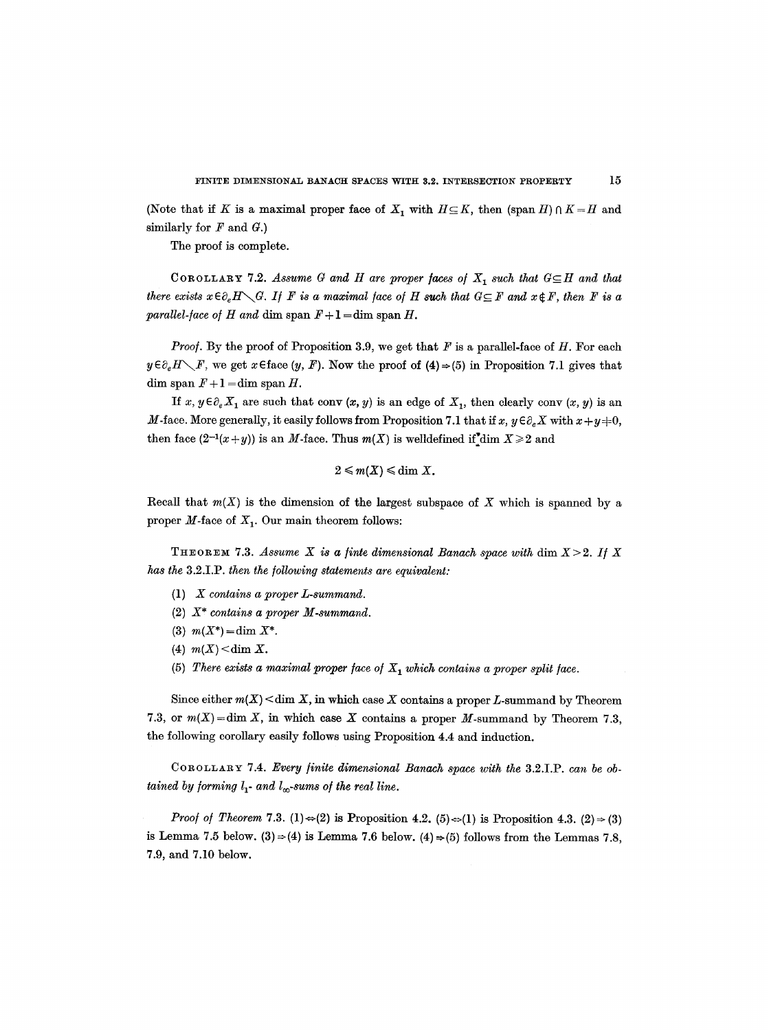(Note that if K is a maximal proper face of  $X_1$  with  $H \subseteq K$ , then (span H)  $\cap$  K = H and similarly for  $F$  and  $G$ .)

The proof is complete.

COROLLARY 7.2. Assume G and H are proper faces of  $X_1$  such that  $G \subseteq H$  and that *there exists*  $x \in \partial_e H \setminus G$ . If F is a maximal face of H such that  $G \subseteq F$  and  $x \notin F$ , then F is a *parallel-face of H and dim span*  $F+1 = dim$  span H.

*Proof.* By the proof of Proposition 3.9, we get that  $F$  is a parallel-face of  $H$ . For each  $y \in \partial_e H \setminus F$ , we get  $x \in \text{face } (y, F)$ . Now the proof of  $(4) \Rightarrow (5)$  in Proposition 7.1 gives that dim span  $F+1 = \dim \operatorname{span} H$ .

*If* x,  $y \in \partial_e X_1$  are such that conv  $(x, y)$  is an edge of  $X_1$ , then clearly conv  $(x, y)$  is an M-face. More generally, it easily follows from Proposition 7.1 that if x,  $y \in \partial_e X$  with  $x + y = 0$ , then face  $(2^{-1}(x+y))$  is an M-face. Thus  $m(X)$  is welldefined if dim  $X\geq 2$  and

$$
2\leqslant m(X)\leqslant \dim X.
$$

Recall that  $m(X)$  is the dimension of the largest subspace of X which is spanned by a proper  $M$ -face of  $X_1$ . Our main theorem follows:

THEOREM 7.3. Assume X is a finte dimensional Banach space with  $\dim X>2$ . If X *has the* 3.2.I.P. *then the following statements are equivalent:* 

- (1) *X contains a proper L-summand.*
- (2) *X\* contains a proper M-summand.*
- (3)  $m(X^*) = \dim X^*$ .
- (4)  $m(X) < dim X$ .
- (5) *There exists a maximal proper face of*  $X<sub>1</sub>$  *which contains a proper split face.*

Since either  $m(X)$   $\leq$  dim X, in which case X contains a proper L-summand by Theorem 7.3, or  $m(X) = \dim X$ , in which case X contains a proper M-summand by Theorem 7.3, the following corollary easily follows using Proposition 4.4 and induction.

COROLLARY 7.4. *Every finite dimensional Banach space with the* 3.2.I.P. *can be obtained by forming*  $l_1$ *- and*  $l_\infty$ *-sums of the real line.* 

*Proof of Theorem* 7.3. (1)  $\Leftrightarrow$  (2) is Proposition 4.2. (5)  $\Leftrightarrow$  (1) is Proposition 4.3. (2)  $\Rightarrow$  (3) is Lemma 7.5 below. (3)  $\Rightarrow$  (4) is Lemma 7.6 below. (4)  $\Rightarrow$  (5) follows from the Lemmas 7.8, 7.9, and 7.10 below.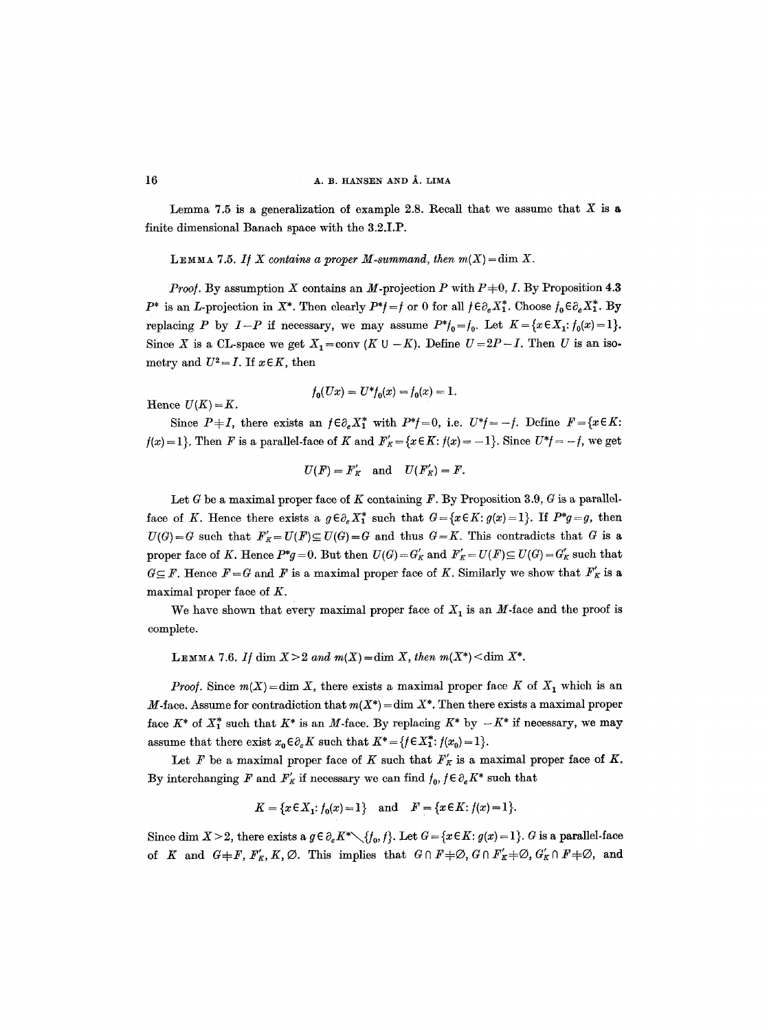Lemma 7.5 is a generalization of example 2.8. Recall that we assume that X is a finite dimensional Banach space with the 3.2.I.P.

LEMMA 7.5. If X contains a proper M-summand, then  $m(X) = \dim X$ .

*Proof.* By assumption X contains an M-projection P with  $P\neq 0$ , I. By Proposition 4.3  $P^*$  is an *L*-projection in  $X^*$ . Then clearly  $P^*$ *f* = *f* or 0 for all  $f \in \partial_e X_1^*$ . Choose  $f_0 \in \partial_e X_1^*$ . By replacing P by  $I-P$  if necessary, we may assume  $P^*f_0 = f_0$ . Let  $K = \{x \in X_1 : f_0(x) = 1\}.$ Since X is a CL-space we get  $X_1=$ conv (K  $\cup$  - K). Define  $U=2P-I$ . Then U is an isometry and  $U^2 = I$ . If  $x \in K$ , then

$$
f_0(Ux) = U^* f_0(x) = f_0(x) = 1.
$$

Hence  $U(K)=K$ .

Since  $P+I$ , there exists an  $f \in \partial_e X_1^*$  with  $P^*f=0$ , i.e.  $U^*f=-f$ . Define  $F=\{x \in K:$  $f(x)=1$ . Then F is a parallel-face of K and  $F'_K = \{x \in K : f(x)=-1\}$ . Since  $U^*f = -f$ , we get

$$
U(F) = F'_K \quad \text{and} \quad U(F'_K) = F.
$$

Let G be a maximal proper face of K containing F. By Proposition 3.9, G is a parallelface of K. Hence there exists a  $g \in \partial_e X_1^*$  such that  $G = \{x \in K : g(x) = 1\}$ . If  $P^*g = g$ , then  $U(G) = G$  such that  $F'_K = U(F) \subseteq U(G) = G$  and thus  $G = K$ . This contradicts that G is a proper face of K. Hence  $P^*g=0$ . But then  $U(G)=G'_K$  and  $F'_K=U(F)\subseteq U(G)=G'_K$  such that  $G \subseteq F$ . Hence  $F = G$  and F is a maximal proper face of K. Similarly we show that  $F'_{K}$  is a maximal proper face of K.

We have shown that every maximal proper face of  $X_1$  is an M-face and the proof is complete.

LEMMA 7.6. If dim  $X>2$  and  $m(X) = \dim X$ , then  $m(X^*) < \dim X^*$ .

*Proof.* Since  $m(X) = \dim X$ , there exists a maximal proper face K of  $X_1$  which is an M-face. Assume for contradiction that  $m(X^*) = \dim X^*$ . Then there exists a maximal proper face  $K^*$  of  $X_1^*$  such that  $K^*$  is an M-face. By replacing  $K^*$  by  $-K^*$  if necessary, we may assume that there exist  $x_0 \in \partial_e K$  such that  $K^* = \{f \in X_1^* : f(x_0) = 1\}.$ 

Let F be a maximal proper face of K such that  $F'_K$  is a maximal proper face of K. By interchanging F and  $F'_{K}$  if necessary we can find  $f_{0}$ ,  $f \in \partial_{e} K^{*}$  such that

$$
K = \{x \in X_1 : f_0(x) = 1\} \text{ and } F = \{x \in K : f(x) = 1\}.
$$

Since dim  $X > 2$ , there exists a  $g \in \partial_e K^* \setminus \{f_0, f\}$ . Let  $G = \{x \in K : g(x) = 1\}$ . G is a parallel-face of K and  $G \neq F$ ,  $F'_K$ , K, Ø. This implies that  $G \cap F \neq \emptyset$ ,  $G \cap F'_K \neq \emptyset$ ,  $G'_K \cap F \neq \emptyset$ , and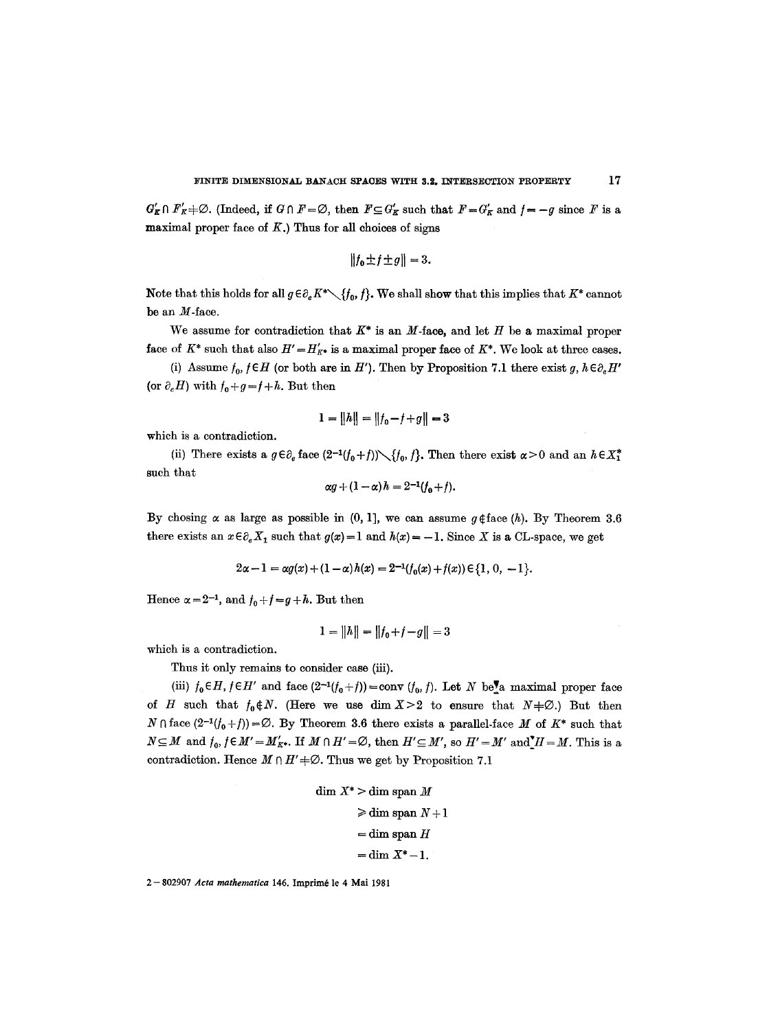$G'_{\mathcal{K}} \cap F'_{\mathcal{K}} \neq \emptyset$ . (Indeed, if  $G \cap F = \emptyset$ , then  $F \subseteq G'_{\mathcal{K}}$  such that  $F = G'_{\mathcal{K}}$  and  $f = -g$  since  $F$  is a maximal proper face of  $K$ .) Thus for all choices of signs

$$
||f_0 \pm f \pm g|| = 3.
$$

Note that this holds for all  $g \in \partial_{\alpha} K^* \setminus \{f_0, f\}$ . We shall show that this implies that  $K^*$  cannot be an  $M$ -face.

We assume for contradiction that  $K^*$  is an M-face, and let H be a maximal proper face of  $K^*$  such that also  $H' = H'_{K^*}$  is a maximal proper face of  $K^*$ . We look at three cases.

(i) Assume  $f_0$ ,  $f \in H$  (or both are in *H'*). Then by Proposition 7.1 there exist *g*,  $h \in \partial_e H'$ (or  $\partial_e H$ ) with  $f_0+g=f+h$ . But then

$$
1 = ||h|| = ||f_0 - f + g|| = 3
$$

which is a contradiction.

(ii) There exists a  $g \in \partial_e$  face  $(2^{-1}(f_0+f)) \setminus \{f_0, f\}$ . Then there exist  $\alpha > 0$  and an  $h \in X_1^*$ such that

$$
\alpha g + (1 - \alpha) h = 2^{-1}(f_0 + f).
$$

By chosing  $\alpha$  as large as possible in (0, 1], we can assume  $g \notin \text{face}(h)$ . By Theorem 3.6 there exists an  $x \in \partial_e X_1$  such that  $g(x)=1$  and  $h(x)=-1$ . Since X is a CL-space, we get

$$
2\alpha - 1 = \alpha g(x) + (1 - \alpha) h(x) = 2^{-1}(f_0(x) + f(x)) \in \{1, 0, -1\}.
$$

Hence  $\alpha = 2^{-1}$ , and  $f_0 + f = g + h$ . But then

$$
1 = ||h|| = ||f_0 + f - g|| = 3
$$

which is a contradiction.

Thus it only remains to consider case (iii).

(iii)  $f_0 \in H$ ,  $f \in H'$  and face  $(2^{-1}(f_0+f)) = \text{conv }(f_0, f)$ . Let N be a maximal proper face of H such that  $f_0 \notin N$ . (Here we use dim  $X > 2$  to ensure that  $N \neq \emptyset$ .) But then  $N \cap \text{face } (2^{-1}(f_0+f)) = \emptyset$ . By Theorem 3.6 there exists a parallel-face M of  $K^*$  such that  $N \subseteq M$  and  $f_0$ ,  $f \in M' = M'_{K^*}$ . If  $M \cap H' = \emptyset$ , then  $H' \subseteq M'$ , so  $H' = M'$  and  $H' = M$ . This is a contradiction. Hence  $M \cap H' + \emptyset$ . Thus we get by Proposition 7.1

```
dim X^* > dim span M
\geq dim span N+1= dim span H=\dim X^*-1.
```
2 - 802907 *Acta mathematica* 146. Imprim6 le 4 Mai 1981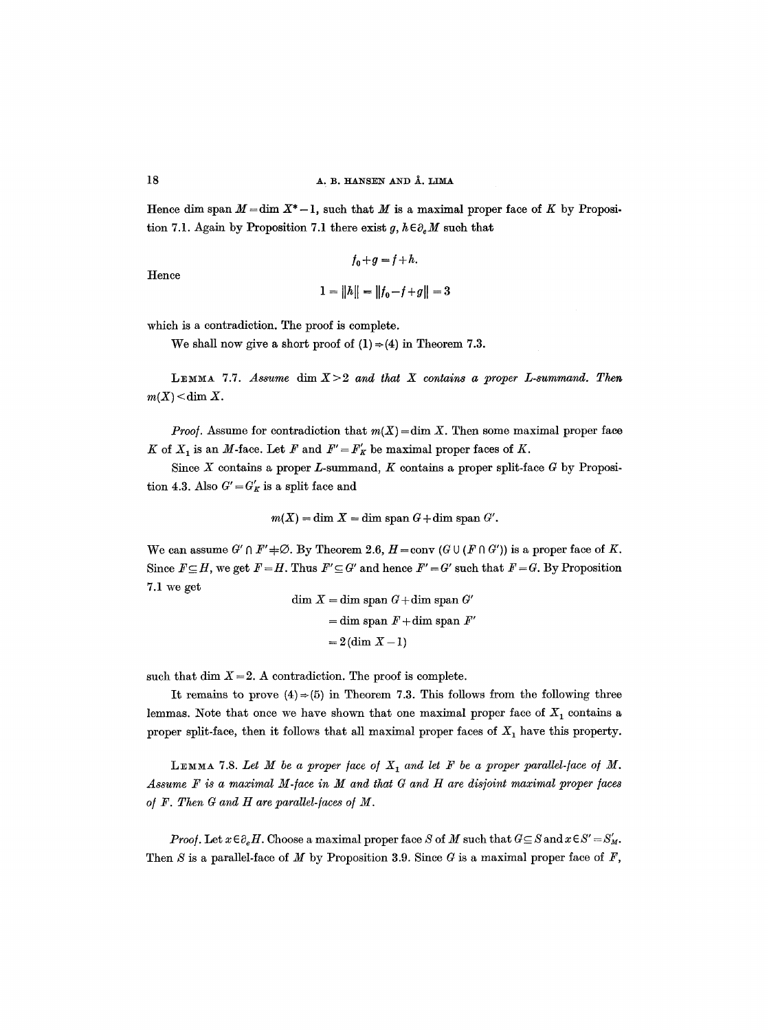Hence dim span  $M = \dim X^* - 1$ , such that M is a maximal proper face of K by Proposition 7.1. Again by Proposition 7.1 there exist g,  $h \in \partial_e M$  such that

$$
f_0 + g = f + h.
$$
  

$$
1 = ||h|| = ||f_0 - f + g|| = 3
$$

Hence

which is a contradiction. The proof is complete.

We shall now give a short proof of  $(1) \Rightarrow (4)$  in Theorem 7.3.

LEMMA 7.7. Assume dim  $X>2$  and that X contains a proper L-summand. Then  $m(X)$  < dim X.

*Proof.* Assume for contradiction that  $m(X) = \dim X$ . Then some maximal proper face K of  $X_1$  is an M-face. Let F and  $F' = F'_K$  be maximal proper faces of K.

Since  $X$  contains a proper  $L$ -summand,  $K$  contains a proper split-face  $G$  by Proposition 4.3. Also  $G' = G'_{K}$  is a split face and

$$
m(X) = \dim X = \dim \text{ span } G + \dim \text{ span } G'.
$$

We can assume  $G' \cap F' \neq \emptyset$ . By Theorem 2.6,  $H = \text{conv } (G \cup (F \cap G'))$  is a proper face of K. Since  $F \subseteq H$ , we get  $F = H$ . Thus  $F' \subseteq G'$  and hence  $F' = G'$  such that  $F = G$ . By Proposition 7.1 we get dim  $\overline{V}$  = dim span  $\overline{C}$  + dim span  $\overline{C}$ 

$$
\dim X = \dim \text{span } G + \dim \text{span } G'
$$
  
= 
$$
\dim \text{span } F + \dim \text{span } F'
$$
  
= 
$$
2(\dim X - 1)
$$

such that dim  $X = 2$ . A contradiction. The proof is complete.

It remains to prove  $(4) \Rightarrow (5)$  in Theorem 7.3. This follows from the following three lemmas. Note that once we have shown that one maximal proper face of  $X_1$  contains a proper split-face, then it follows that all maximal proper faces of  $X_1$  have this property.

LEMMA 7.8. Let  $M$  be a proper face of  $X_1$  and let  $F$  be a proper parallel-face of  $M$ . Assume F is a maximal M-face in M and that G and H are disjoint maximal proper faces *o/F. Then G and H are parallel-laces o/M.* 

*Proof.* Let  $x \in \partial_e H$ . Choose a maximal proper face S of M such that  $G \subseteq S$  and  $x \in S' = S'_M$ . Then S is a parallel-face of M by Proposition 3.9. Since G is a maximal proper face of  $F$ ,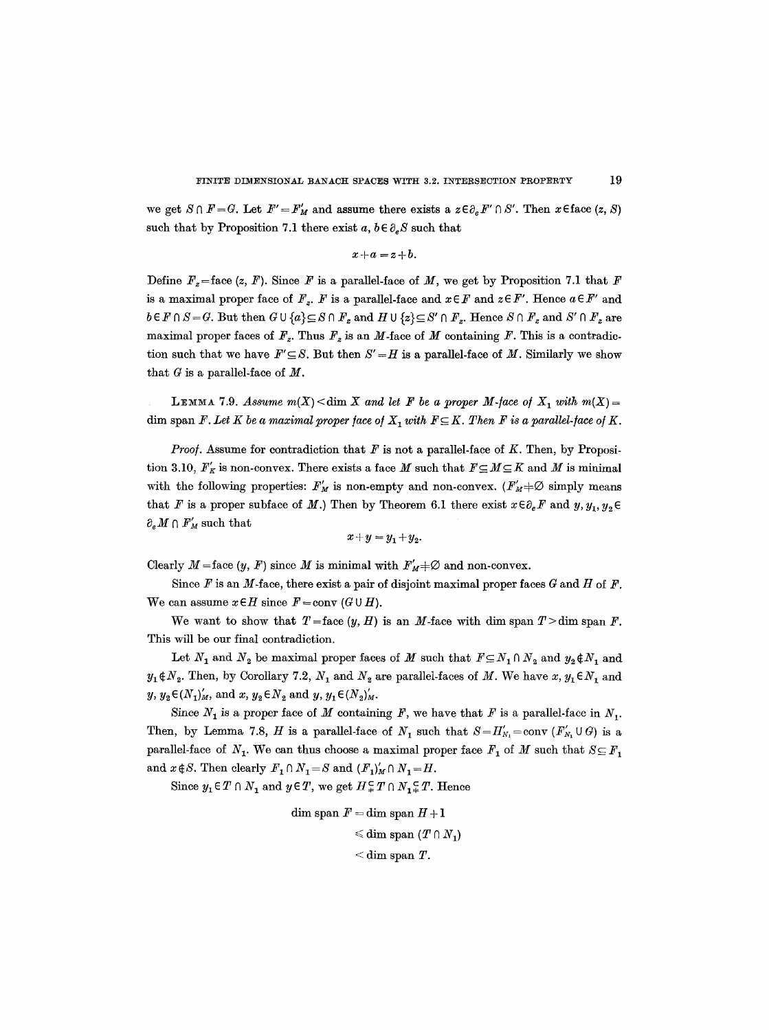we get  $S \cap F = G$ . Let  $F' = F'_M$  and assume there exists a  $z \in \partial_g F' \cap S'$ . Then  $x \in \text{face}(z, S)$ such that by Proposition 7.1 there exist  $a, b \in \partial_e S$  such that

$$
x+a=z+b.
$$

Define  $F<sub>z</sub>=$  face (z, F). Since F is a parallel-face of M, we get by Proposition 7.1 that F is a maximal proper face of  $F_z$ . F is a parallel-face and  $x \in F$  and  $z \in F'$ . Hence  $a \in F'$  and  $b \in F \cap S = G$ . But then  $G \cup \{a\} \subseteq S \cap F_z$  and  $H \cup \{z\} \subseteq S' \cap F_z$ . Hence  $S \cap F_z$  and  $S' \cap F_z$  are maximal proper faces of  $F_z$ . Thus  $F_z$  is an M-face of M containing F. This is a contradiction such that we have  $F' \subseteq S$ . But then  $S' = H$  is a parallel-face of M. Similarly we show that  $G$  is a parallel-face of  $M$ .

LEMMA 7.9. *Assume m(X)*  $\dim X$  and let F be a proper M-face of  $X_1$  with  $m(X) =$ dim span *F. Let K be a maximal proper face of*  $X_i$  with  $F \subseteq K$ . Then *F* is a parallel-face of *K*.

*Proof.* Assume for contradiction that  $F$  is not a parallel-face of  $K$ . Then, by Proposition 3.10,  $F'_K$  is non-convex. There exists a face M such that  $F \subseteq M \subseteq K$  and M is minimal with the following properties:  $F'_{M}$  is non-empty and non-convex. ( $F'_{M}+\emptyset$  simply means that F is a proper subface of M.) Then by Theorem 6.1 there exist  $x \in \partial_e F$  and y,  $y_1, y_2 \in$  $\partial_e M \cap F_M'$  such that

$$
x+y=y_1+y_2.
$$

Clearly  $M$  = face  $(y, F)$  since M is minimal with  $F'_{M} \neq \emptyset$  and non-convex.

Since  $F$  is an  $M$ -face, there exist a pair of disjoint maximal proper faces  $G$  and  $H$  of  $F$ . We can assume  $x \in H$  since  $F = \text{conv } (G \cup H)$ .

We want to show that  $T =$ face  $(y, H)$  is an M-face with dim span  $T >$ dim span F. This will be our final contradiction.

Let  $N_1$  and  $N_2$  be maximal proper faces of M such that  $F \subseteq N_1 \cap N_2$  and  $y_2 \notin N_1$  and  $y_1 \notin N_2$ . Then, by Corollary 7.2,  $N_1$  and  $N_2$  are parallel-faces of M. We have  $x, y_1 \in N_1$  and  $y, y_2 \in (N_1)'_M$ , and  $x, y_2 \in N_2$  and  $y, y_1 \in (N_2)'_M$ .

Since  $N_1$  is a proper face of M containing F, we have that F is a parallel-face in  $N_1$ . Then, by Lemma 7.8, *H* is a parallel-face of  $N_1$  such that  $S=H'_{N_1}=\text{conv } (F'_{N_1} \cup G)$  is a parallel-face of  $N_1$ . We can thus choose a maximal proper face  $F_1$  of M such that  $S \subseteq F_1$ and  $x \notin S$ . Then clearly  $F_1 \cap N_1 = S$  and  $(F_1)'_M \cap N_1 = H$ .

Since  $y_1 \in T \cap N_1$  and  $y \in T$ , we get  $H \subsetneq T \cap N_1 \subsetneq T$ . Hence

$$
\begin{aligned} \textrm{dim span} \,\, & F = \textrm{dim span} \,\, H + 1 \\ & \leqslant \textrm{dim span} \,\, (T \cap N_1) \\ & < \textrm{dim span} \,\, T. \end{aligned}
$$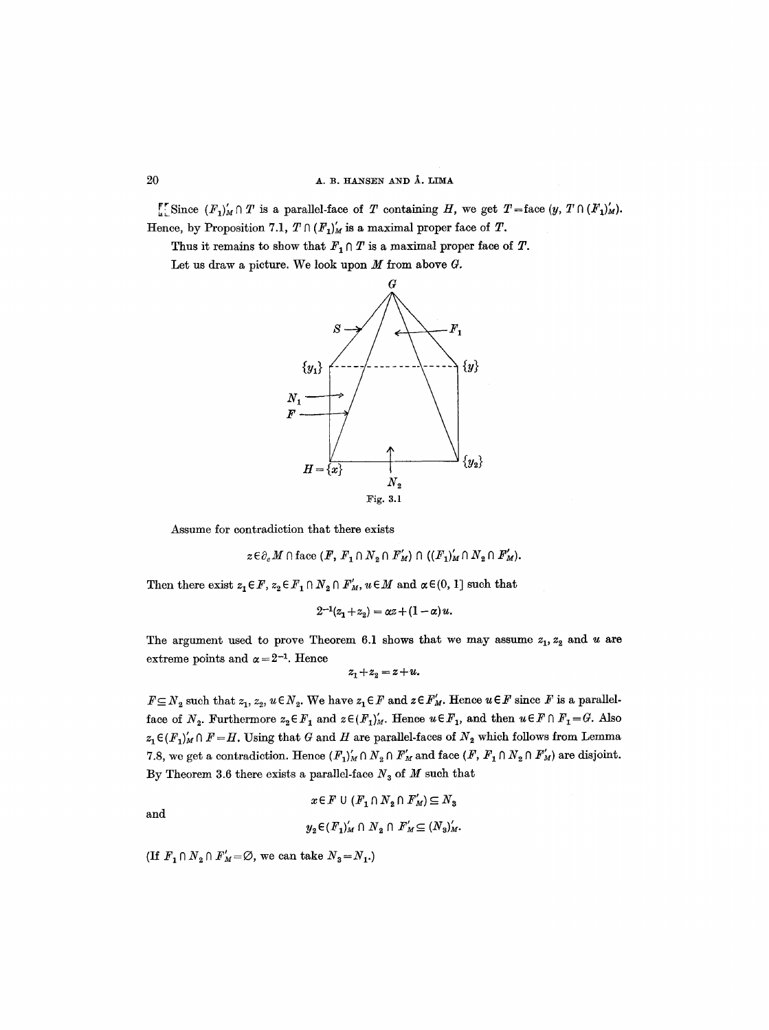## $20$  **A. B. HANSEN AND Å. LIMA**

 $\llbracket \cdot \rrbracket$  Since  $(F_1)_M \cap T$  is a parallel-face of T containing H, we get  $T=$  face  $(y, T \cap (F_1)_M^t)$ . Hence, by Proposition 7.1,  $T \cap (F_1)'_M$  is a maximal proper face of  $T$ .

Thus it remains to show that  $F_1 \cap T$  is a maximal proper face of  $T$ .

Let us draw a picture. We look upon  $M$  from above  $G$ .



Assume for contradiction that there exists

$$
z \in \partial_e M \cap \text{face } (F, F_1 \cap N_2 \cap F'_M) \cap ((F_1)'_M \cap N_2 \cap F'_M).
$$

Then there exist  $z_1 \in F$ ,  $z_2 \in F_1 \cap N_2 \cap F'_M$ ,  $u \in M$  and  $\alpha \in (0, 1]$  such that

$$
2^{-1}(z_1 + z_2) = \alpha z + (1 - \alpha) u.
$$

The argument used to prove Theorem 6.1 shows that we may assume  $z_1, z_2$  and u are extreme points and  $\alpha = 2^{-1}$ . Hence

$$
z_1 + z_2 = z + u.
$$

 $F \subseteq N_2$  such that  $z_1, z_2, u \in N_2$ . We have  $z_1 \in F$  and  $z \in F'_{M}$ . Hence  $u \in F$  since F is a parallelface of  $N_2$ . Furthermore  $z_2 \in F_1$  and  $z \in (F_1)'_M$ . Hence  $u \in F_1$ , and then  $u \in F \cap F_1 = G$ . Also  $z_1 \in (F_1)'_M \cap F = H$ . Using that G and H are parallel-faces of  $N_2$  which follows from Lemma 7.8, we get a contradiction. Hence  $(F_1)'_M \cap N_2 \cap F'_M$  and face  $(F, F_1 \cap N_2 \cap F'_M)$  are disjoint. By Theorem 3.6 there exists a parallel-face  $N_3$  of  $M$  such that

$$
x \in F \cup (F_1 \cap N_2 \cap F_M') \subseteq N_3
$$
  

$$
y_2 \in (F_1)_M' \cap N_2 \cap F_M' \subseteq (N_3)_M'.
$$

(If  $F_1 \cap N_2 \cap F_M' = \emptyset$ , we can take  $N_3 = N_1$ .)

and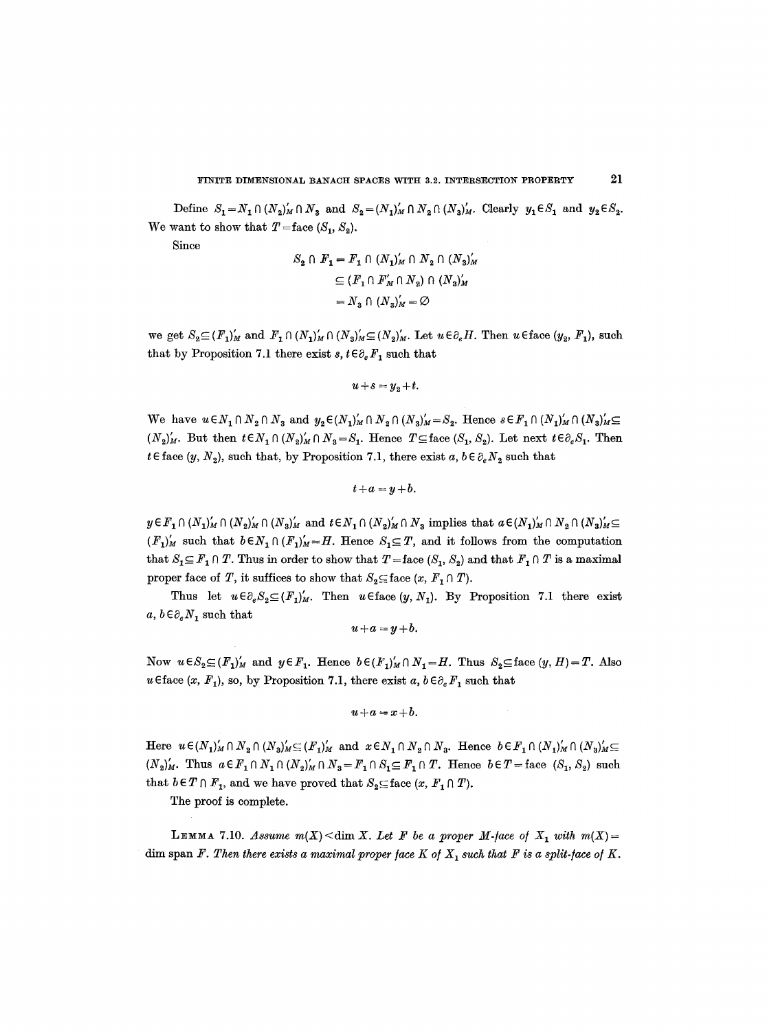Define  $S_1 = N_1 \cap (N_2)_M' \cap N_3$  and  $S_2 = (N_1)_M' \cap N_2 \cap (N_3)_M'$ . Clearly  $y_1 \in S_1$  and  $y_2 \in S_2$ . We want to show that  $T =$ face  $(S_1, S_2)$ .

Since

$$
S_2 \cap F_1 = F_1 \cap (N_1)'_M \cap N_2 \cap (N_3)'_M
$$
  
\n
$$
\subseteq (F_1 \cap F'_M \cap N_2) \cap (N_3)'_M
$$
  
\n
$$
= N_3 \cap (N_3)'_M = \varnothing
$$

we get  $S_2 \subseteq (F_1)'_M$  and  $F_1 \cap (N_1)'_M \cap (N_2)'_M \subseteq (N_2)'_M$ . Let  $u \in \partial_e H$ . Then  $u \in \text{face } (y_2, F_1)$ , such that by Proposition 7.1 there exist  $s, t \in \partial_e F_1$  such that

$$
u+s=y_2+t.
$$

We have  $u \in N_1 \cap N_2 \cap N_3$  and  $y_2 \in (N_1)'_M \cap N_2 \cap (N_3)'_M = S_2$ . Hence  $s \in F_1 \cap (N_1)'_M \cap (N_3)'_M \subseteq$  $(N_2)_{M}$ . But then  $t \in N_1 \cap (N_2)_{M} \cap N_3 = S_1$ . Hence  $T \subseteq \text{face } (S_1, S_2)$ . Let next  $t \in \partial_e S_1$ . Then  $t \in \text{face } (y, N_2)$ , such that, by Proposition 7.1, there exist a,  $b \in \partial_e N_2$  such that

 $t+a=y+b$ .

 $y \in F_1 \cap (N_1)'_M \cap (N_2)'_M \cap (N_3)'_M$  and  $t \in N_1 \cap (N_2)'_M \cap N_3$  implies that  $a \in (N_1)'_M \cap N_2 \cap (N_3)'_M \subseteq$  $(F_1)'_M$  such that  $b \in N_1 \cap (F_1)'_M = H$ . Hence  $S_1 \subseteq T$ , and it follows from the computation that  $S_1 \subseteq F_1 \cap T$ . Thus in order to show that  $T =$  face  $(S_1, S_2)$  and that  $F_1 \cap T$  is a maximal proper face of *T*, it suffices to show that  $S_2 \subseteq \text{face } (x, F, \cap T)$ .

Thus let  $u \in \partial_e S_2 \subseteq (F_1)'_M$ . Then  $u \in \text{face}(y, N_1)$ . By Proposition 7.1 there exist  $a, b \in \partial_e N_1$  such that

$$
u+a=y+b.
$$

Now  $u \in S_2 \subseteq (F_1)'_M$  and  $y \in F_1$ . Hence  $b \in (F_1)'_M \cap N_1 = H$ . Thus  $S_2 \subseteq \text{face } (y, H) = T$ . Also u Eface (x,  $F_1$ ), so, by Proposition 7.1, there exist a,  $b \in \partial_e F_1$  such that

$$
u+a=x+b.
$$

Here  $u \in (N_1)'_M \cap N_2 \cap (N_3)'_M \subseteq (F_1)'_M$  and  $x \in N_1 \cap N_2 \cap N_3$ . Hence  $b \in F_1 \cap (N_1)'_M \cap (N_3)'_M \subseteq F_2$  $(N_2)_{M}$ . Thus  $a \in F_1 \cap N_1 \cap (N_2)_{M} \cap N_3 = F_1 \cap S_1 \subseteq F_1 \cap T$ . Hence  $b \in T =$  face  $(S_1, S_2)$  such that  $b \in T \cap F_1$ , and we have proved that  $S_2 \subseteq$  face  $(x, F_1 \cap T)$ .

The proof is complete.

LEMMA 7.10. *Assume m(X)* < dim X. Let F be a proper M-face of  $X_1$  with  $m(X)$  = dim span *F. Then there exists a maximal proper face K of*  $X_1$  such that *F* is a split-face of K.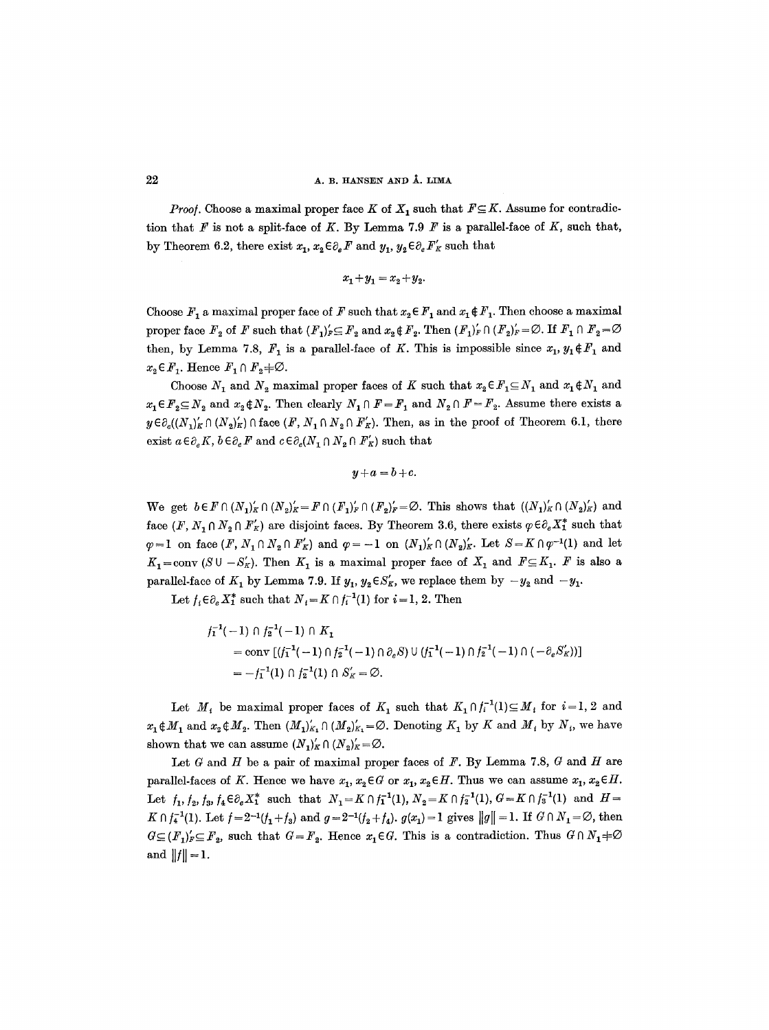*Proof.* Choose a maximal proper face K of  $X_1$  such that  $F \subseteq K$ . Assume for contradiction that  $F$  is not a split-face of K. By Lemma 7.9  $F$  is a parallel-face of K, such that, by Theorem 6.2, there exist  $x_1, x_2 \in \partial_e F$  and  $y_1, y_2 \in \partial_e F'_K$  such that

$$
x_1+y_1=x_2+y_2.\\
$$

Choose  $F_1$  a maximal proper face of F such that  $x_2 \in F_1$  and  $x_1 \notin F_1$ . Then choose a maximal proper face  $F_2$  of F such that  $(F_1)'_F \subseteq F_2$  and  $x_2 \notin F_2$ . Then  $(F_1)'_F \cap (F_2)'_F = \emptyset$ . If  $F_1 \cap F_2 = \emptyset$ then, by Lemma 7.8,  $F_1$  is a parallel-face of K. This is impossible since  $x_1, y_1 \notin F_1$  and  $x_2 \in F_1$ . Hence  $F_1 \cap F_2 \neq \emptyset$ .

Choose  $N_1$  and  $N_2$  maximal proper faces of K such that  $x_2 \in F_1 \subseteq N_1$  and  $x_1 \notin N_1$  and  $x_1 \in F_2 \subseteq N_2$  and  $x_2 \notin N_2$ . Then clearly  $N_1 \cap F = F_1$  and  $N_2 \cap F = F_2$ . Assume there exists a  $y \in \partial_e((N_1)'_K \cap (N_2)'_K) \cap$  face  $(F, N_1 \cap N_2 \cap F'_K)$ . Then, as in the proof of Theorem 6.1, there exist  $a \in \partial_e K$ ,  $b \in \partial_e F$  and  $c \in \partial_e(N_1 \cap N_2 \cap F_K')$  such that

 $y+a=b+c$ .

We get  $b \in F \cap (N_1)'_K \cap (N_2)'_K = F \cap (F_1)'_F \cap (F_2)'_F = \emptyset$ . This shows that  $((N_1)'_K \cap (N_2)'_K)$  and face  $(F, N_1 \cap N_2 \cap F_K)$  are disjoint faces. By Theorem 3.6, there exists  $\varphi \in \partial_e X_1^*$  such that  $\varphi = 1$  on face  $(F, N_1 \cap N_2 \cap F_K')$  and  $\varphi = -1$  on  $(N_1)'_K \cap (N_2)'_K$ . Let  $S = K \cap \varphi^{-1}(1)$  and let  $K_1=\text{conv }(S\cup -S'_K)$ . Then  $K_1$  is a maximal proper face of  $X_1$  and  $F\subseteq K_1$ . F is also a parallel-face of  $K_1$  by Lemma 7.9. If  $y_1, y_2 \in S'_K$ , we replace them by  $-y_2$  and  $-y_1$ .

Let  $f_i \in \partial_e X_1^*$  such that  $N_i = K \cap f_i^{-1}(1)$  for  $i = 1, 2$ . Then

$$
f_1^{-1}(-1) \cap f_2^{-1}(-1) \cap K_1
$$
  
=  $\text{conv} [(f_1^{-1}(-1) \cap f_2^{-1}(-1) \cap \partial_e S) \cup (f_1^{-1}(-1) \cap f_2^{-1}(-1) \cap (-\partial_e S_K'))]$   
=  $-f_1^{-1}(1) \cap f_2^{-1}(1) \cap S_K' = \emptyset$ .

Let  $M_i$  be maximal proper faces of  $K_1$  such that  $K_1 \cap f_i^{-1}(1) \subseteq M_i$  for  $i=1, 2$  and  $x_1 \notin M_1$  and  $x_2 \notin M_2$ . Then  $(M_1)'_{K_1} \cap (M_2)'_{K_1} = \emptyset$ . Denoting  $K_1$  by K and  $M_i$  by  $N_i$ , we have shown that we can assume  $(N_1)'_K \cap (N_2)'_K = \emptyset$ .

Let  $G$  and  $H$  be a pair of maximal proper faces of  $F$ . By Lemma 7.8,  $G$  and  $H$  are parallel-faces of K. Hence we have  $x_1, x_2 \in G$  or  $x_1, x_2 \in H$ . Thus we can assume  $x_1, x_2 \in H$ . Let  $f_1, f_2, f_3, f_4 \in \partial_e X_1^*$  such that  $N_1 = K \cap f_1^{-1}(1), N_2 = K \cap f_2^{-1}(1), G = K \cap f_3^{-1}(1)$  and  $H =$  $K \cap f_4^{-1}(1)$ . Let  $f = 2^{-1}(f_1+f_3)$  and  $g = 2^{-1}(f_2+f_4)$ .  $g(x_1) = 1$  gives  $||g|| = 1$ . If  $G \cap N_1 = \emptyset$ , then  $G \subseteq (F_1)_F' \subseteq F_2$ , such that  $G = F_2$ . Hence  $x_1 \in G$ . This is a contradiction. Thus  $G \cap N_1 \neq \emptyset$ and  $||f|| = 1$ .